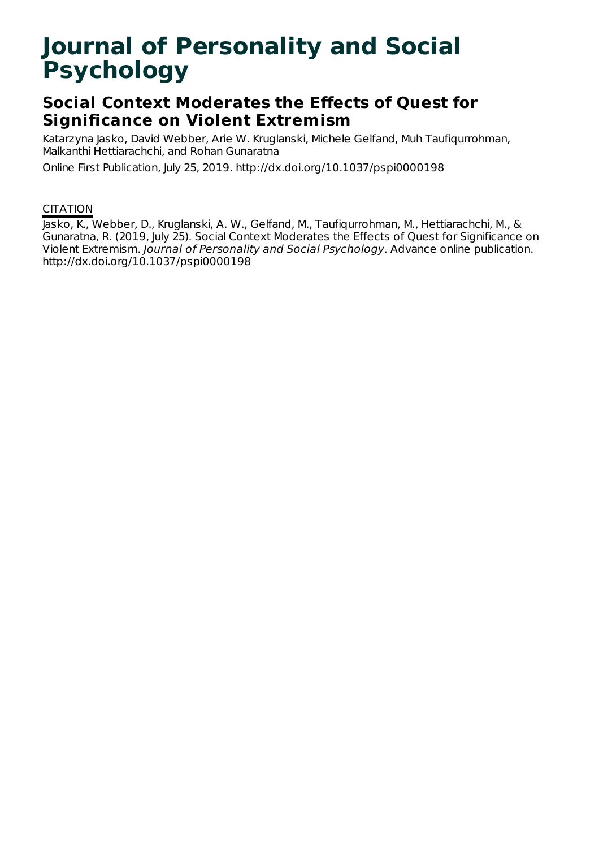# **Journal of Personality and Social Psychology**

## **Social Context Moderates the Effects of Quest for Significance on Violent Extremism**

Katarzyna Jasko, David Webber, Arie W. Kruglanski, Michele Gelfand, Muh Taufiqurrohman, Malkanthi Hettiarachchi, and Rohan Gunaratna

Online First Publication, July 25, 2019. http://dx.doi.org/10.1037/pspi0000198

## **CITATION**

Jasko, K., Webber, D., Kruglanski, A. W., Gelfand, M., Taufiqurrohman, M., Hettiarachchi, M., & Gunaratna, R. (2019, July 25). Social Context Moderates the Effects of Quest for Significance on Violent Extremism. Journal of Personality and Social Psychology. Advance online publication. http://dx.doi.org/10.1037/pspi0000198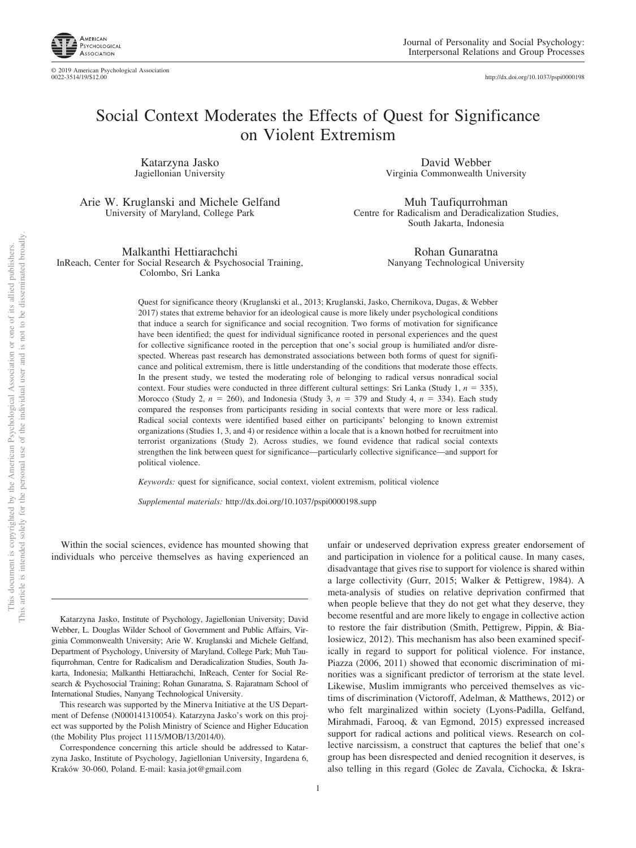

http://dx.doi.org[/10.1037/pspi0000198](http://dx.doi.org/10.1037/pspi0000198)

## Social Context Moderates the Effects of Quest for Significance on Violent Extremism

Katarzyna Jasko Jagiellonian University

Arie W. Kruglanski and Michele Gelfand University of Maryland, College Park

Malkanthi Hettiarachchi InReach, Center for Social Research & Psychosocial Training, Colombo, Sri Lanka

David Webber Virginia Commonwealth University

Muh Taufiqurrohman Centre for Radicalism and Deradicalization Studies, South Jakarta, Indonesia

> Rohan Gunaratna Nanyang Technological University

Quest for significance theory (Kruglanski et al., 2013; Kruglanski, Jasko, Chernikova, Dugas, & Webber 2017) states that extreme behavior for an ideological cause is more likely under psychological conditions that induce a search for significance and social recognition. Two forms of motivation for significance have been identified; the quest for individual significance rooted in personal experiences and the quest for collective significance rooted in the perception that one's social group is humiliated and/or disrespected. Whereas past research has demonstrated associations between both forms of quest for significance and political extremism, there is little understanding of the conditions that moderate those effects. In the present study, we tested the moderating role of belonging to radical versus nonradical social context. Four studies were conducted in three different cultural settings: Sri Lanka (Study 1,  $n = 335$ ), Morocco (Study 2,  $n = 260$ ), and Indonesia (Study 3,  $n = 379$  and Study 4,  $n = 334$ ). Each study compared the responses from participants residing in social contexts that were more or less radical. Radical social contexts were identified based either on participants' belonging to known extremist organizations (Studies 1, 3, and 4) or residence within a locale that is a known hotbed for recruitment into terrorist organizations (Study 2). Across studies, we found evidence that radical social contexts strengthen the link between quest for significance—particularly collective significance—and support for political violence.

*Keywords:* quest for significance, social context, violent extremism, political violence

*Supplemental materials:* http://dx.doi.org/10.1037/pspi0000198.supp

Within the social sciences, evidence has mounted showing that individuals who perceive themselves as having experienced an

Katarzyna Jasko, Institute of Psychology, Jagiellonian University; David Webber, L. Douglas Wilder School of Government and Public Affairs, Virginia Commonwealth University; Arie W. Kruglanski and Michele Gelfand, Department of Psychology, University of Maryland, College Park; Muh Taufiqurrohman, Centre for Radicalism and Deradicalization Studies, South Jakarta, Indonesia; Malkanthi Hettiarachchi, InReach, Center for Social Research & Psychosocial Training; Rohan Gunaratna, S. Rajaratnam School of International Studies, Nanyang Technological University.

This research was supported by the Minerva Initiative at the US Department of Defense (N000141310054). Katarzyna Jasko's work on this project was supported by the Polish Ministry of Science and Higher Education (the Mobility Plus project 1115/MOB/13/2014/0).

Correspondence concerning this article should be addressed to Katarzyna Jasko, Institute of Psychology, Jagiellonian University, Ingardena 6, Kraków 30-060, Poland. E-mail: [kasia.jot@gmail.com](mailto:kasia.jot@gmail.com)

unfair or undeserved deprivation express greater endorsement of and participation in violence for a political cause. In many cases, disadvantage that gives rise to support for violence is shared within a large collectivity (Gurr, 2015; Walker & Pettigrew, 1984). A meta-analysis of studies on relative deprivation confirmed that when people believe that they do not get what they deserve, they become resentful and are more likely to engage in collective action to restore the fair distribution (Smith, Pettigrew, Pippin, & Bialosiewicz, 2012). This mechanism has also been examined specifically in regard to support for political violence. For instance, Piazza (2006, 2011) showed that economic discrimination of minorities was a significant predictor of terrorism at the state level. Likewise, Muslim immigrants who perceived themselves as victims of discrimination (Victoroff, Adelman, & Matthews, 2012) or who felt marginalized within society (Lyons-Padilla, Gelfand, Mirahmadi, Farooq, & van Egmond, 2015) expressed increased support for radical actions and political views. Research on collective narcissism, a construct that captures the belief that one's group has been disrespected and denied recognition it deserves, is also telling in this regard (Golec de Zavala, Cichocka, & Iskra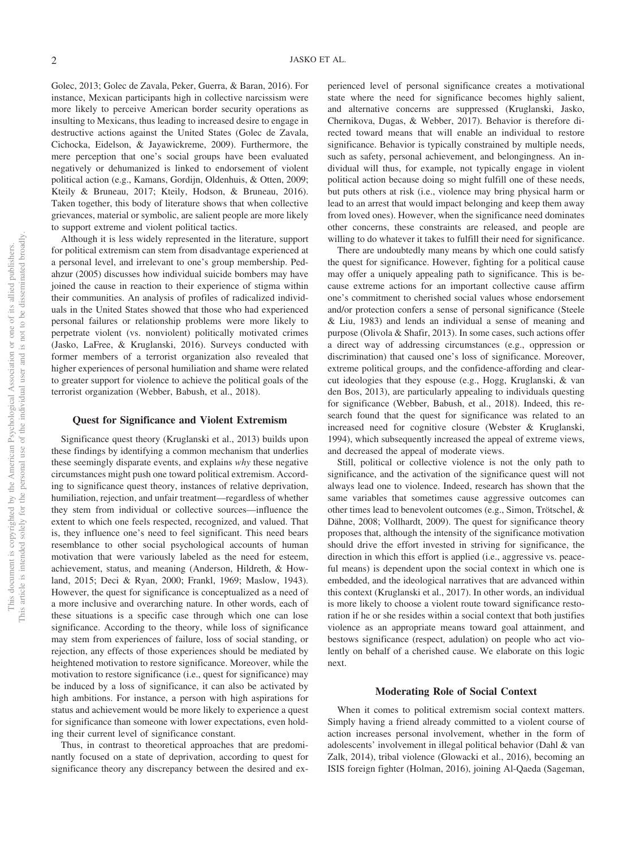Golec, 2013; Golec de Zavala, Peker, Guerra, & Baran, 2016). For instance, Mexican participants high in collective narcissism were more likely to perceive American border security operations as insulting to Mexicans, thus leading to increased desire to engage in destructive actions against the United States (Golec de Zavala, Cichocka, Eidelson, & Jayawickreme, 2009). Furthermore, the mere perception that one's social groups have been evaluated negatively or dehumanized is linked to endorsement of violent political action (e.g., Kamans, Gordijn, Oldenhuis, & Otten, 2009; Kteily & Bruneau, 2017; Kteily, Hodson, & Bruneau, 2016). Taken together, this body of literature shows that when collective grievances, material or symbolic, are salient people are more likely to support extreme and violent political tactics.

Although it is less widely represented in the literature, support for political extremism can stem from disadvantage experienced at a personal level, and irrelevant to one's group membership. Pedahzur (2005) discusses how individual suicide bombers may have joined the cause in reaction to their experience of stigma within their communities. An analysis of profiles of radicalized individuals in the United States showed that those who had experienced personal failures or relationship problems were more likely to perpetrate violent (vs. nonviolent) politically motivated crimes (Jasko, LaFree, & Kruglanski, 2016). Surveys conducted with former members of a terrorist organization also revealed that higher experiences of personal humiliation and shame were related to greater support for violence to achieve the political goals of the terrorist organization (Webber, Babush, et al., 2018).

#### **Quest for Significance and Violent Extremism**

Significance quest theory (Kruglanski et al., 2013) builds upon these findings by identifying a common mechanism that underlies these seemingly disparate events, and explains *why* these negative circumstances might push one toward political extremism. According to significance quest theory, instances of relative deprivation, humiliation, rejection, and unfair treatment—regardless of whether they stem from individual or collective sources—influence the extent to which one feels respected, recognized, and valued. That is, they influence one's need to feel significant. This need bears resemblance to other social psychological accounts of human motivation that were variously labeled as the need for esteem, achievement, status, and meaning (Anderson, Hildreth, & Howland, 2015; Deci & Ryan, 2000; Frankl, 1969; Maslow, 1943). However, the quest for significance is conceptualized as a need of a more inclusive and overarching nature. In other words, each of these situations is a specific case through which one can lose significance. According to the theory, while loss of significance may stem from experiences of failure, loss of social standing, or rejection, any effects of those experiences should be mediated by heightened motivation to restore significance. Moreover, while the motivation to restore significance (i.e., quest for significance) may be induced by a loss of significance, it can also be activated by high ambitions. For instance, a person with high aspirations for status and achievement would be more likely to experience a quest for significance than someone with lower expectations, even holding their current level of significance constant.

Thus, in contrast to theoretical approaches that are predominantly focused on a state of deprivation, according to quest for significance theory any discrepancy between the desired and ex-

perienced level of personal significance creates a motivational state where the need for significance becomes highly salient, and alternative concerns are suppressed (Kruglanski, Jasko, Chernikova, Dugas, & Webber, 2017). Behavior is therefore directed toward means that will enable an individual to restore significance. Behavior is typically constrained by multiple needs, such as safety, personal achievement, and belongingness. An individual will thus, for example, not typically engage in violent political action because doing so might fulfill one of these needs, but puts others at risk (i.e., violence may bring physical harm or lead to an arrest that would impact belonging and keep them away from loved ones). However, when the significance need dominates other concerns, these constraints are released, and people are willing to do whatever it takes to fulfill their need for significance.

There are undoubtedly many means by which one could satisfy the quest for significance. However, fighting for a political cause may offer a uniquely appealing path to significance. This is because extreme actions for an important collective cause affirm one's commitment to cherished social values whose endorsement and/or protection confers a sense of personal significance (Steele & Liu, 1983) and lends an individual a sense of meaning and purpose (Olivola & Shafir, 2013). In some cases, such actions offer a direct way of addressing circumstances (e.g., oppression or discrimination) that caused one's loss of significance. Moreover, extreme political groups, and the confidence-affording and clearcut ideologies that they espouse (e.g., Hogg, Kruglanski, & van den Bos, 2013), are particularly appealing to individuals questing for significance (Webber, Babush, et al., 2018). Indeed, this research found that the quest for significance was related to an increased need for cognitive closure (Webster & Kruglanski, 1994), which subsequently increased the appeal of extreme views, and decreased the appeal of moderate views.

Still, political or collective violence is not the only path to significance, and the activation of the significance quest will not always lead one to violence. Indeed, research has shown that the same variables that sometimes cause aggressive outcomes can other times lead to benevolent outcomes (e.g., Simon, Trötschel, & Dähne, 2008; Vollhardt, 2009). The quest for significance theory proposes that, although the intensity of the significance motivation should drive the effort invested in striving for significance, the direction in which this effort is applied (i.e., aggressive vs. peaceful means) is dependent upon the social context in which one is embedded, and the ideological narratives that are advanced within this context (Kruglanski et al., 2017). In other words, an individual is more likely to choose a violent route toward significance restoration if he or she resides within a social context that both justifies violence as an appropriate means toward goal attainment, and bestows significance (respect, adulation) on people who act violently on behalf of a cherished cause. We elaborate on this logic next.

### **Moderating Role of Social Context**

When it comes to political extremism social context matters. Simply having a friend already committed to a violent course of action increases personal involvement, whether in the form of adolescents' involvement in illegal political behavior (Dahl & van Zalk, 2014), tribal violence (Glowacki et al., 2016), becoming an ISIS foreign fighter (Holman, 2016), joining Al-Qaeda (Sageman,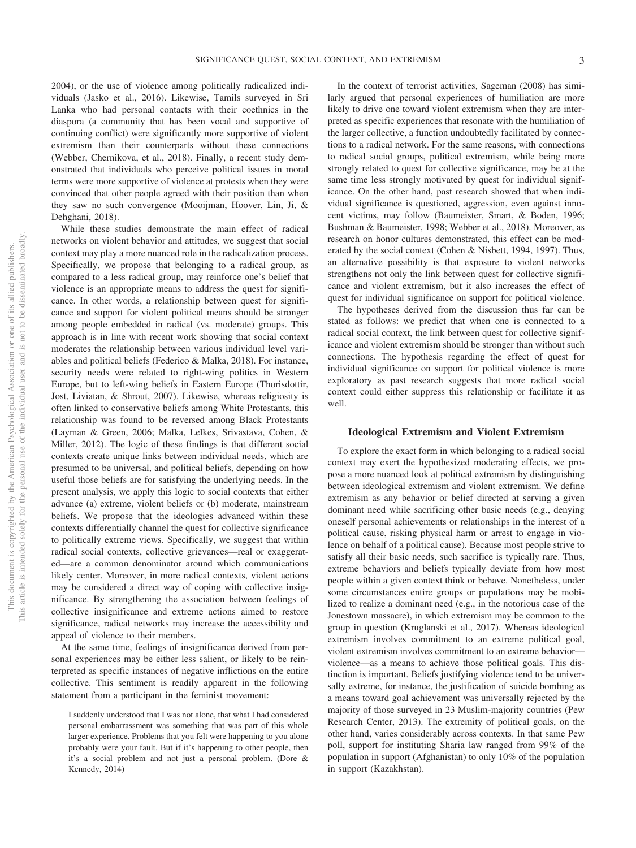viduals (Jasko et al., 2016). Likewise, Tamils surveyed in Sri Lanka who had personal contacts with their coethnics in the diaspora (a community that has been vocal and supportive of continuing conflict) were significantly more supportive of violent extremism than their counterparts without these connections (Webber, Chernikova, et al., 2018). Finally, a recent study demonstrated that individuals who perceive political issues in moral terms were more supportive of violence at protests when they were convinced that other people agreed with their position than when they saw no such convergence (Mooijman, Hoover, Lin, Ji, & Dehghani, 2018).

While these studies demonstrate the main effect of radical networks on violent behavior and attitudes, we suggest that social context may play a more nuanced role in the radicalization process. Specifically, we propose that belonging to a radical group, as compared to a less radical group, may reinforce one's belief that violence is an appropriate means to address the quest for significance. In other words, a relationship between quest for significance and support for violent political means should be stronger among people embedded in radical (vs. moderate) groups. This approach is in line with recent work showing that social context moderates the relationship between various individual level variables and political beliefs (Federico & Malka, 2018). For instance, security needs were related to right-wing politics in Western Europe, but to left-wing beliefs in Eastern Europe (Thorisdottir, Jost, Liviatan, & Shrout, 2007). Likewise, whereas religiosity is often linked to conservative beliefs among White Protestants, this relationship was found to be reversed among Black Protestants (Layman & Green, 2006; Malka, Lelkes, Srivastava, Cohen, & Miller, 2012). The logic of these findings is that different social contexts create unique links between individual needs, which are presumed to be universal, and political beliefs, depending on how useful those beliefs are for satisfying the underlying needs. In the present analysis, we apply this logic to social contexts that either advance (a) extreme, violent beliefs or (b) moderate, mainstream beliefs. We propose that the ideologies advanced within these contexts differentially channel the quest for collective significance to politically extreme views. Specifically, we suggest that within radical social contexts, collective grievances—real or exaggerated—are a common denominator around which communications likely center. Moreover, in more radical contexts, violent actions may be considered a direct way of coping with collective insignificance. By strengthening the association between feelings of collective insignificance and extreme actions aimed to restore significance, radical networks may increase the accessibility and appeal of violence to their members.

At the same time, feelings of insignificance derived from personal experiences may be either less salient, or likely to be reinterpreted as specific instances of negative inflictions on the entire collective. This sentiment is readily apparent in the following statement from a participant in the feminist movement:

In the context of terrorist activities, Sageman (2008) has similarly argued that personal experiences of humiliation are more likely to drive one toward violent extremism when they are interpreted as specific experiences that resonate with the humiliation of the larger collective, a function undoubtedly facilitated by connections to a radical network. For the same reasons, with connections to radical social groups, political extremism, while being more strongly related to quest for collective significance, may be at the same time less strongly motivated by quest for individual significance. On the other hand, past research showed that when individual significance is questioned, aggression, even against innocent victims, may follow (Baumeister, Smart, & Boden, 1996; Bushman & Baumeister, 1998; Webber et al., 2018). Moreover, as research on honor cultures demonstrated, this effect can be moderated by the social context (Cohen & Nisbett, 1994, [1997\)](#page-21-0). Thus, an alternative possibility is that exposure to violent networks strengthens not only the link between quest for collective significance and violent extremism, but it also increases the effect of quest for individual significance on support for political violence.

The hypotheses derived from the discussion thus far can be stated as follows: we predict that when one is connected to a radical social context, the link between quest for collective significance and violent extremism should be stronger than without such connections. The hypothesis regarding the effect of quest for individual significance on support for political violence is more exploratory as past research suggests that more radical social context could either suppress this relationship or facilitate it as well.

## **Ideological Extremism and Violent Extremism**

To explore the exact form in which belonging to a radical social context may exert the hypothesized moderating effects, we propose a more nuanced look at political extremism by distinguishing between ideological extremism and violent extremism. We define extremism as any behavior or belief directed at serving a given dominant need while sacrificing other basic needs (e.g., denying oneself personal achievements or relationships in the interest of a political cause, risking physical harm or arrest to engage in violence on behalf of a political cause). Because most people strive to satisfy all their basic needs, such sacrifice is typically rare. Thus, extreme behaviors and beliefs typically deviate from how most people within a given context think or behave. Nonetheless, under some circumstances entire groups or populations may be mobilized to realize a dominant need (e.g., in the notorious case of the Jonestown massacre), in which extremism may be common to the group in question (Kruglanski et al., 2017). Whereas ideological extremism involves commitment to an extreme political goal, violent extremism involves commitment to an extreme behavior violence—as a means to achieve those political goals. This distinction is important. Beliefs justifying violence tend to be universally extreme, for instance, the justification of suicide bombing as a means toward goal achievement was universally rejected by the majority of those surveyed in 23 Muslim-majority countries (Pew Research Center, 2013). The extremity of political goals, on the other hand, varies considerably across contexts. In that same Pew poll, support for instituting Sharia law ranged from 99% of the population in support (Afghanistan) to only 10% of the population in support (Kazakhstan).

I suddenly understood that I was not alone, that what I had considered personal embarrassment was something that was part of this whole larger experience. Problems that you felt were happening to you alone probably were your fault. But if it's happening to other people, then it's a social problem and not just a personal problem. (Dore & Kennedy, 2014)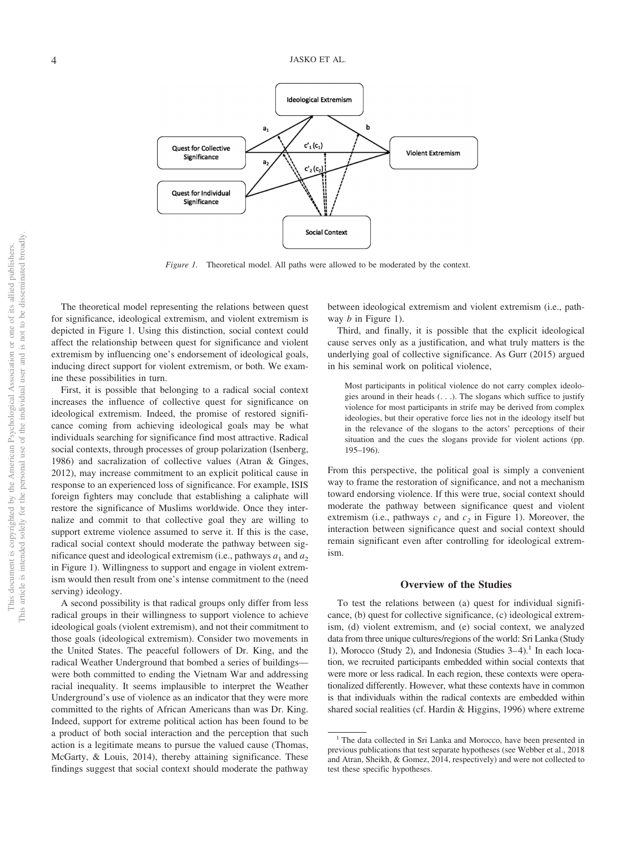

*Figure 1.* Theoretical model. All paths were allowed to be moderated by the context.

The theoretical model representing the relations between quest for significance, ideological extremism, and violent extremism is depicted in Figure 1. Using this distinction, social context could affect the relationship between quest for significance and violent extremism by influencing one's endorsement of ideological goals, inducing direct support for violent extremism, or both. We examine these possibilities in turn.

First, it is possible that belonging to a radical social context increases the influence of collective quest for significance on ideological extremism. Indeed, the promise of restored significance coming from achieving ideological goals may be what individuals searching for significance find most attractive. Radical social contexts, through processes of group polarization (Isenberg, 1986) and sacralization of collective values (Atran & Ginges, 2012), may increase commitment to an explicit political cause in response to an experienced loss of significance. For example, ISIS foreign fighters may conclude that establishing a caliphate will restore the significance of Muslims worldwide. Once they internalize and commit to that collective goal they are willing to support extreme violence assumed to serve it. If this is the case, radical social context should moderate the pathway between significance quest and ideological extremism (i.e., pathways  $a_1$  and  $a_2$ ) in Figure 1). Willingness to support and engage in violent extremism would then result from one's intense commitment to the (need serving) ideology.

A second possibility is that radical groups only differ from less radical groups in their willingness to support violence to achieve ideological goals (violent extremism), and not their commitment to those goals (ideological extremism). Consider two movements in the United States. The peaceful followers of Dr. King, and the radical Weather Underground that bombed a series of buildings were both committed to ending the Vietnam War and addressing racial inequality. It seems implausible to interpret the Weather Underground's use of violence as an indicator that they were more committed to the rights of African Americans than was Dr. King. Indeed, support for extreme political action has been found to be a product of both social interaction and the perception that such action is a legitimate means to pursue the valued cause (Thomas, McGarty, & Louis, 2014), thereby attaining significance. These findings suggest that social context should moderate the pathway between ideological extremism and violent extremism (i.e., pathway *b* in Figure 1).

Third, and finally, it is possible that the explicit ideological cause serves only as a justification, and what truly matters is the underlying goal of collective significance. As Gurr (2015) argued in his seminal work on political violence,

Most participants in political violence do not carry complex ideologies around in their heads (. . .). The slogans which suffice to justify violence for most participants in strife may be derived from complex ideologies, but their operative force lies not in the ideology itself but in the relevance of the slogans to the actors' perceptions of their situation and the cues the slogans provide for violent actions (pp. 195–196).

From this perspective, the political goal is simply a convenient way to frame the restoration of significance, and not a mechanism toward endorsing violence. If this were true, social context should moderate the pathway between significance quest and violent extremism (i.e., pathways  $c_1$  and  $c_2$  in Figure 1). Moreover, the interaction between significance quest and social context should remain significant even after controlling for ideological extremism.

### **Overview of the Studies**

To test the relations between (a) quest for individual significance, (b) quest for collective significance, (c) ideological extremism, (d) violent extremism, and (e) social context, we analyzed data from three unique cultures/regions of the world: Sri Lanka (Study 1), Morocco (Study 2), and Indonesia (Studies  $3-4$ ).<sup>1</sup> In each location, we recruited participants embedded within social contexts that were more or less radical. In each region, these contexts were operationalized differently. However, what these contexts have in common is that individuals within the radical contexts are embedded within shared social realities (cf. Hardin & Higgins, 1996) where extreme

<sup>&</sup>lt;sup>1</sup> The data collected in Sri Lanka and Morocco, have been presented in previous publications that test separate hypotheses (see Webber et al., 2018 and Atran, Sheikh, & Gomez, 2014, respectively) and were not collected to test these specific hypotheses.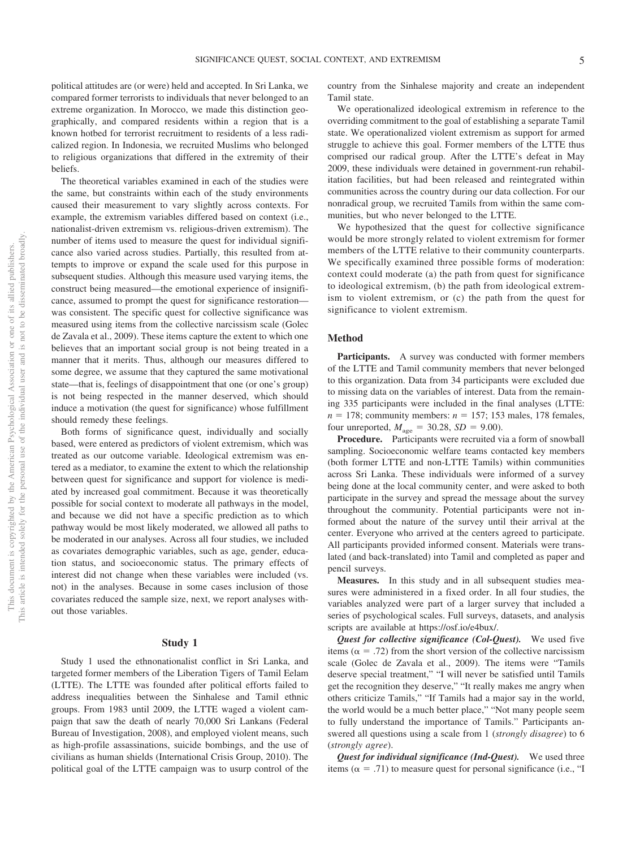political attitudes are (or were) held and accepted. In Sri Lanka, we compared former terrorists to individuals that never belonged to an extreme organization. In Morocco, we made this distinction geographically, and compared residents within a region that is a known hotbed for terrorist recruitment to residents of a less radicalized region. In Indonesia, we recruited Muslims who belonged to religious organizations that differed in the extremity of their beliefs.

The theoretical variables examined in each of the studies were the same, but constraints within each of the study environments caused their measurement to vary slightly across contexts. For example, the extremism variables differed based on context (i.e., nationalist-driven extremism vs. religious-driven extremism). The number of items used to measure the quest for individual significance also varied across studies. Partially, this resulted from attempts to improve or expand the scale used for this purpose in subsequent studies. Although this measure used varying items, the construct being measured—the emotional experience of insignificance, assumed to prompt the quest for significance restoration was consistent. The specific quest for collective significance was measured using items from the collective narcissism scale (Golec de Zavala et al., 2009). These items capture the extent to which one believes that an important social group is not being treated in a manner that it merits. Thus, although our measures differed to some degree, we assume that they captured the same motivational state—that is, feelings of disappointment that one (or one's group) is not being respected in the manner deserved, which should induce a motivation (the quest for significance) whose fulfillment should remedy these feelings.

Both forms of significance quest, individually and socially based, were entered as predictors of violent extremism, which was treated as our outcome variable. Ideological extremism was entered as a mediator, to examine the extent to which the relationship between quest for significance and support for violence is mediated by increased goal commitment. Because it was theoretically possible for social context to moderate all pathways in the model, and because we did not have a specific prediction as to which pathway would be most likely moderated, we allowed all paths to be moderated in our analyses. Across all four studies, we included as covariates demographic variables, such as age, gender, education status, and socioeconomic status. The primary effects of interest did not change when these variables were included (vs. not) in the analyses. Because in some cases inclusion of those covariates reduced the sample size, next, we report analyses without those variables.

## **Study 1**

Study 1 used the ethnonationalist conflict in Sri Lanka, and targeted former members of the Liberation Tigers of Tamil Eelam (LTTE). The LTTE was founded after political efforts failed to address inequalities between the Sinhalese and Tamil ethnic groups. From 1983 until 2009, the LTTE waged a violent campaign that saw the death of nearly 70,000 Sri Lankans (Federal Bureau of Investigation, 2008), and employed violent means, such as high-profile assassinations, suicide bombings, and the use of civilians as human shields (International Crisis Group, 2010). The political goal of the LTTE campaign was to usurp control of the

country from the Sinhalese majority and create an independent Tamil state.

We operationalized ideological extremism in reference to the overriding commitment to the goal of establishing a separate Tamil state. We operationalized violent extremism as support for armed struggle to achieve this goal. Former members of the LTTE thus comprised our radical group. After the LTTE's defeat in May 2009, these individuals were detained in government-run rehabilitation facilities, but had been released and reintegrated within communities across the country during our data collection. For our nonradical group, we recruited Tamils from within the same communities, but who never belonged to the LTTE.

We hypothesized that the quest for collective significance would be more strongly related to violent extremism for former members of the LTTE relative to their community counterparts. We specifically examined three possible forms of moderation: context could moderate (a) the path from quest for significance to ideological extremism, (b) the path from ideological extremism to violent extremism, or (c) the path from the quest for significance to violent extremism.

### **Method**

Participants. A survey was conducted with former members of the LTTE and Tamil community members that never belonged to this organization. Data from 34 participants were excluded due to missing data on the variables of interest. Data from the remaining 335 participants were included in the final analyses (LTTE:  $n = 178$ ; community members:  $n = 157$ ; 153 males, 178 females, four unreported,  $M_{\text{age}} = 30.28$ ,  $SD = 9.00$ ).

**Procedure.** Participants were recruited via a form of snowball sampling. Socioeconomic welfare teams contacted key members (both former LTTE and non-LTTE Tamils) within communities across Sri Lanka. These individuals were informed of a survey being done at the local community center, and were asked to both participate in the survey and spread the message about the survey throughout the community. Potential participants were not informed about the nature of the survey until their arrival at the center. Everyone who arrived at the centers agreed to participate. All participants provided informed consent. Materials were translated (and back-translated) into Tamil and completed as paper and pencil surveys.

**Measures.** In this study and in all subsequent studies measures were administered in a fixed order. In all four studies, the variables analyzed were part of a larger survey that included a series of psychological scales. Full surveys, datasets, and analysis scripts are available at [https://osf.io/e4bux/.](https://osf.io/e4bux/)

*Quest for collective significance (Col-Quest).* We used five items ( $\alpha$  = .72) from the short version of the collective narcissism scale (Golec de Zavala et al., 2009). The items were "Tamils deserve special treatment," "I will never be satisfied until Tamils get the recognition they deserve," "It really makes me angry when others criticize Tamils," "If Tamils had a major say in the world, the world would be a much better place," "Not many people seem to fully understand the importance of Tamils." Participants answered all questions using a scale from 1 (*strongly disagree*) to 6 (*strongly agree*).

*Quest for individual significance (Ind-Quest).* We used three items ( $\alpha$  = .71) to measure quest for personal significance (i.e., "I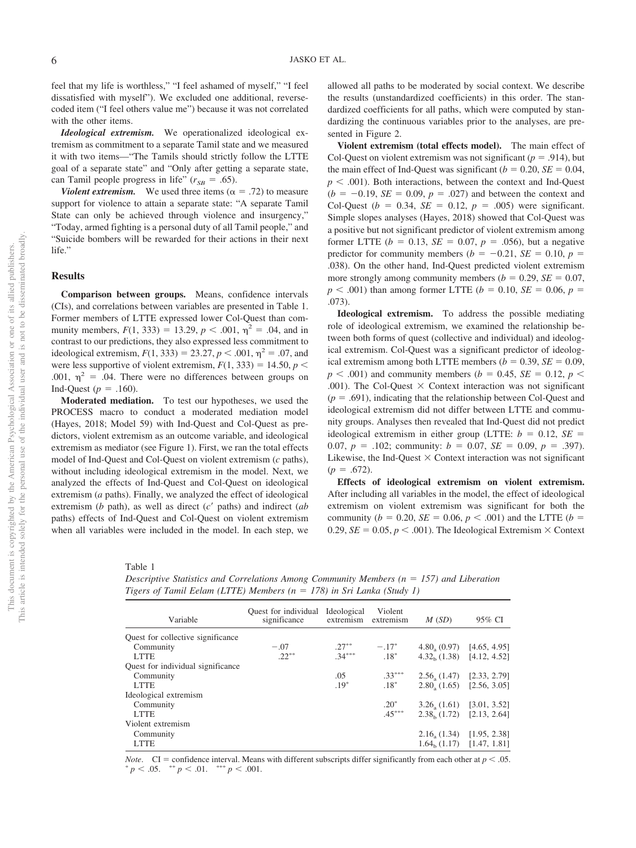feel that my life is worthless," "I feel ashamed of myself," "I feel dissatisfied with myself"). We excluded one additional, reversecoded item ("I feel others value me") because it was not correlated with the other items.

*Ideological extremism.* We operationalized ideological extremism as commitment to a separate Tamil state and we measured it with two items—"The Tamils should strictly follow the LTTE goal of a separate state" and "Only after getting a separate state, can Tamil people progress in life"  $(r_{SB} = .65)$ .

*Violent extremism.* We used three items ( $\alpha = .72$ ) to measure support for violence to attain a separate state: "A separate Tamil State can only be achieved through violence and insurgency," "Today, armed fighting is a personal duty of all Tamil people," and "Suicide bombers will be rewarded for their actions in their next life."

## **Results**

**Comparison between groups.** Means, confidence intervals (CIs), and correlations between variables are presented in Table 1. Former members of LTTE expressed lower Col-Quest than community members,  $F(1, 333) = 13.29$ ,  $p < .001$ ,  $\eta^2 = .04$ , and in contrast to our predictions, they also expressed less commitment to ideological extremism,  $F(1, 333) = 23.27, p < .001, \eta^2 = .07$ , and were less supportive of violent extremism,  $F(1, 333) = 14.50$ ,  $p <$ .001,  $\eta^2$  = .04. There were no differences between groups on Ind-Quest ( $p = .160$ ).

**Moderated mediation.** To test our hypotheses, we used the PROCESS macro to conduct a moderated mediation model (Hayes, 2018; Model 59) with Ind-Quest and Col-Quest as predictors, violent extremism as an outcome variable, and ideological extremism as mediator (see Figure 1). First, we ran the total effects model of Ind-Quest and Col-Quest on violent extremism (*c* paths), without including ideological extremism in the model. Next, we analyzed the effects of Ind-Quest and Col-Quest on ideological extremism (*a* paths). Finally, we analyzed the effect of ideological extremism (*b* path), as well as direct (*c*= paths) and indirect (*ab* paths) effects of Ind-Quest and Col-Quest on violent extremism when all variables were included in the model. In each step, we allowed all paths to be moderated by social context. We describe the results (unstandardized coefficients) in this order. The standardized coefficients for all paths, which were computed by standardizing the continuous variables prior to the analyses, are presented in Figure 2.

**Violent extremism (total effects model).** The main effect of Col-Quest on violent extremism was not significant ( $p = .914$ ), but the main effect of Ind-Quest was significant  $(b = 0.20, SE = 0.04,$  $p < .001$ ). Both interactions, between the context and Ind-Quest  $(b = -0.19, SE = 0.09, p = .027)$  and between the context and Col-Quest ( $b = 0.34$ ,  $SE = 0.12$ ,  $p = .005$ ) were significant. Simple slopes analyses (Hayes, 2018) showed that Col-Quest was a positive but not significant predictor of violent extremism among former LTTE ( $b = 0.13$ ,  $SE = 0.07$ ,  $p = .056$ ), but a negative predictor for community members ( $b = -0.21$ ,  $SE = 0.10$ ,  $p =$ .038). On the other hand, Ind-Quest predicted violent extremism more strongly among community members  $(b = 0.29, SE = 0.07,$  $p < .001$ ) than among former LTTE ( $b = 0.10$ , *SE* = 0.06,  $p =$ .073).

**Ideological extremism.** To address the possible mediating role of ideological extremism, we examined the relationship between both forms of quest (collective and individual) and ideological extremism. Col-Quest was a significant predictor of ideological extremism among both LTTE members  $(b = 0.39, SE = 0.09,$  $p < .001$ ) and community members ( $b = 0.45$ , *SE* = 0.12,  $p <$ .001). The Col-Quest  $\times$  Context interaction was not significant  $(p = .691)$ , indicating that the relationship between Col-Quest and ideological extremism did not differ between LTTE and community groups. Analyses then revealed that Ind-Quest did not predict ideological extremism in either group (LTTE:  $b = 0.12$ ,  $SE =$ 0.07,  $p = .102$ ; community:  $b = 0.07$ ,  $SE = 0.09$ ,  $p = .397$ ). Likewise, the Ind-Quest  $\times$  Context interaction was not significant  $(p = .672)$ .

**Effects of ideological extremism on violent extremism.** After including all variables in the model, the effect of ideological extremism on violent extremism was significant for both the community ( $b = 0.20$ ,  $SE = 0.06$ ,  $p < .001$ ) and the LTTE ( $b =$ 0.29,  $SE = 0.05$ ,  $p < .001$ ). The Ideological Extremism  $\times$  Context

Table 1

**Descriptive Statistics and Correlations Among Community Members (n = 157) and Liberation** *Tigers of Tamil Eelam (LTTE) Members (n* - *178) in Sri Lanka (Study 1)*

| Quest for individual<br>significance | Ideological<br>extremism | Violent<br>extremism | M(SD)             | 95% CI                                                                                                                                  |
|--------------------------------------|--------------------------|----------------------|-------------------|-----------------------------------------------------------------------------------------------------------------------------------------|
|                                      |                          |                      |                   |                                                                                                                                         |
|                                      |                          |                      |                   |                                                                                                                                         |
|                                      |                          |                      |                   | [4.65, 4.95]                                                                                                                            |
|                                      |                          |                      |                   |                                                                                                                                         |
|                                      |                          |                      |                   |                                                                                                                                         |
|                                      | .05                      | $.33***$             |                   | [2.33, 2.79]                                                                                                                            |
|                                      | $.19*$                   | $.18*$               |                   | [2.56, 3.05]                                                                                                                            |
|                                      |                          |                      |                   |                                                                                                                                         |
|                                      |                          | $.20*$               |                   | [3.01, 3.52]                                                                                                                            |
|                                      |                          | $.45***$             |                   | [2.13, 2.64]                                                                                                                            |
|                                      |                          |                      |                   |                                                                                                                                         |
|                                      |                          |                      |                   | [1.95, 2.38]                                                                                                                            |
|                                      |                          |                      |                   | $1.64b$ (1.17) [1.47, 1.81]                                                                                                             |
|                                      | $-.07$<br>$22***$        | $.27***$<br>$.34***$ | $-.17*$<br>$.18*$ | 4.80, (0.97)<br>$4.32b$ (1.38) [4.12, 4.52]<br>2.56, (1.47)<br>2.80, (1.65)<br>3.26, (1.61)<br>2.38 <sub>b</sub> (1.72)<br>2.16, (1.34) |

*Note.* CI = confidence interval. Means with different subscripts differ significantly from each other at  $p < .05$ .  $p < .05.$  \*\*  $p < .01.$  \*\*\*  $p < .001.$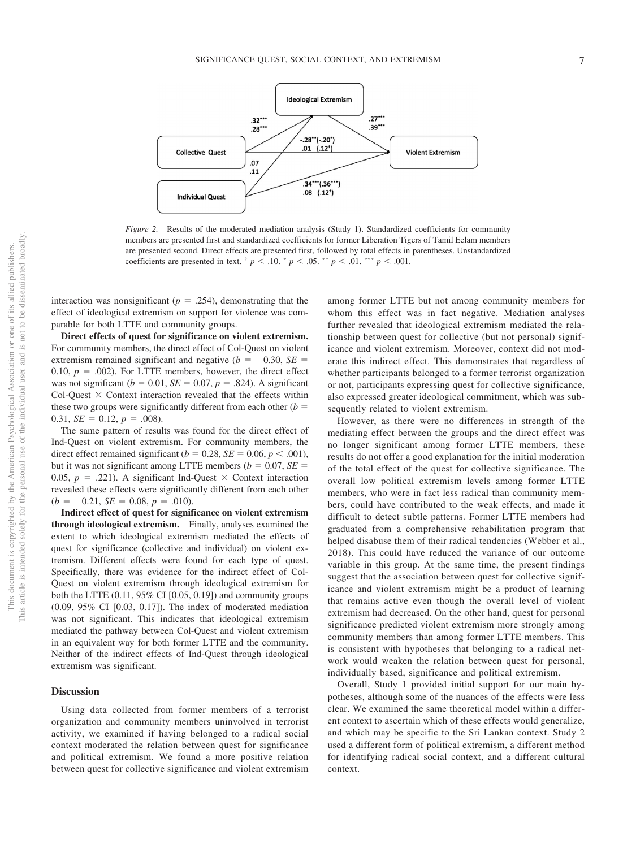

*Figure 2.* Results of the moderated mediation analysis (Study 1). Standardized coefficients for community members are presented first and standardized coefficients for former Liberation Tigers of Tamil Eelam members are presented second. Direct effects are presented first, followed by total effects in parentheses. Unstandardized coefficients are presented in text.  $\frac{1}{p}$   $p$   $\lt$  .10.  $\frac{1}{p}$   $p$   $\lt$  .05.  $\frac{1}{p}$   $p$   $\lt$  .01.  $\frac{1}{p}$   $p$   $\lt$  .001.

interaction was nonsignificant ( $p = .254$ ), demonstrating that the effect of ideological extremism on support for violence was comparable for both LTTE and community groups.

**Direct effects of quest for significance on violent extremism.** For community members, the direct effect of Col-Quest on violent extremism remained significant and negative  $(b = -0.30, SE =$ 0.10,  $p = .002$ ). For LTTE members, however, the direct effect was not significant  $(b = 0.01, SE = 0.07, p = .824)$ . A significant Col-Quest  $\times$  Context interaction revealed that the effects within these two groups were significantly different from each other  $(b =$ 0.31,  $SE = 0.12$ ,  $p = .008$ ).

The same pattern of results was found for the direct effect of Ind-Quest on violent extremism. For community members, the direct effect remained significant ( $b = 0.28$ ,  $SE = 0.06$ ,  $p < .001$ ), but it was not significant among LTTE members  $(b = 0.07, SE =$ 0.05,  $p = .221$ ). A significant Ind-Quest  $\times$  Context interaction revealed these effects were significantly different from each other  $(b = -0.21, SE = 0.08, p = .010).$ 

**Indirect effect of quest for significance on violent extremism through ideological extremism.** Finally, analyses examined the extent to which ideological extremism mediated the effects of quest for significance (collective and individual) on violent extremism. Different effects were found for each type of quest. Specifically, there was evidence for the indirect effect of Col-Quest on violent extremism through ideological extremism for both the LTTE  $(0.11, 95\% \text{ CI } [0.05, 0.19])$  and community groups (0.09, 95% CI [0.03, 0.17]). The index of moderated mediation was not significant. This indicates that ideological extremism mediated the pathway between Col-Quest and violent extremism in an equivalent way for both former LTTE and the community. Neither of the indirect effects of Ind-Quest through ideological extremism was significant.

#### **Discussion**

Using data collected from former members of a terrorist organization and community members uninvolved in terrorist activity, we examined if having belonged to a radical social context moderated the relation between quest for significance and political extremism. We found a more positive relation between quest for collective significance and violent extremism among former LTTE but not among community members for whom this effect was in fact negative. Mediation analyses further revealed that ideological extremism mediated the relationship between quest for collective (but not personal) significance and violent extremism. Moreover, context did not moderate this indirect effect. This demonstrates that regardless of whether participants belonged to a former terrorist organization or not, participants expressing quest for collective significance, also expressed greater ideological commitment, which was subsequently related to violent extremism.

However, as there were no differences in strength of the mediating effect between the groups and the direct effect was no longer significant among former LTTE members, these results do not offer a good explanation for the initial moderation of the total effect of the quest for collective significance. The overall low political extremism levels among former LTTE members, who were in fact less radical than community members, could have contributed to the weak effects, and made it difficult to detect subtle patterns. Former LTTE members had graduated from a comprehensive rehabilitation program that helped disabuse them of their radical tendencies (Webber et al., 2018). This could have reduced the variance of our outcome variable in this group. At the same time, the present findings suggest that the association between quest for collective significance and violent extremism might be a product of learning that remains active even though the overall level of violent extremism had decreased. On the other hand, quest for personal significance predicted violent extremism more strongly among community members than among former LTTE members. This is consistent with hypotheses that belonging to a radical network would weaken the relation between quest for personal, individually based, significance and political extremism.

Overall, Study 1 provided initial support for our main hypotheses, although some of the nuances of the effects were less clear. We examined the same theoretical model within a different context to ascertain which of these effects would generalize, and which may be specific to the Sri Lankan context. Study 2 used a different form of political extremism, a different method for identifying radical social context, and a different cultural context.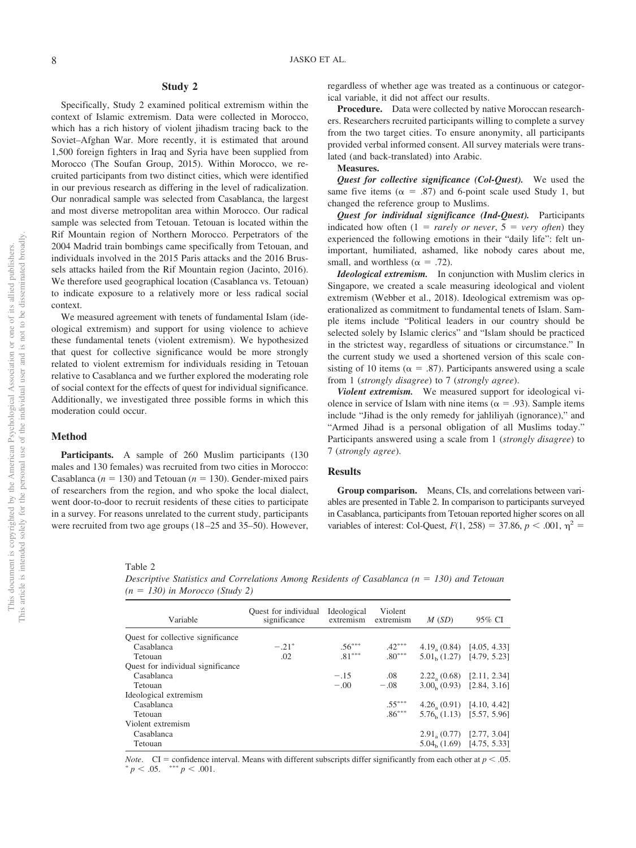## **Study 2**

Specifically, Study 2 examined political extremism within the context of Islamic extremism. Data were collected in Morocco, which has a rich history of violent jihadism tracing back to the Soviet–Afghan War. More recently, it is estimated that around 1,500 foreign fighters in Iraq and Syria have been supplied from Morocco (The Soufan Group, 2015). Within Morocco, we recruited participants from two distinct cities, which were identified in our previous research as differing in the level of radicalization. Our nonradical sample was selected from Casablanca, the largest and most diverse metropolitan area within Morocco. Our radical sample was selected from Tetouan. Tetouan is located within the Rif Mountain region of Northern Morocco. Perpetrators of the 2004 Madrid train bombings came specifically from Tetouan, and individuals involved in the 2015 Paris attacks and the 2016 Brussels attacks hailed from the Rif Mountain region (Jacinto, 2016). We therefore used geographical location (Casablanca vs. Tetouan) to indicate exposure to a relatively more or less radical social context.

We measured agreement with tenets of fundamental Islam (ideological extremism) and support for using violence to achieve these fundamental tenets (violent extremism). We hypothesized that quest for collective significance would be more strongly related to violent extremism for individuals residing in Tetouan relative to Casablanca and we further explored the moderating role of social context for the effects of quest for individual significance. Additionally, we investigated three possible forms in which this moderation could occur.

## **Method**

Participants. A sample of 260 Muslim participants (130) males and 130 females) was recruited from two cities in Morocco: Casablanca ( $n = 130$ ) and Tetouan ( $n = 130$ ). Gender-mixed pairs of researchers from the region, and who spoke the local dialect, went door-to-door to recruit residents of these cities to participate in a survey. For reasons unrelated to the current study, participants were recruited from two age groups (18 –25 and 35–50). However, regardless of whether age was treated as a continuous or categorical variable, it did not affect our results.

**Procedure.** Data were collected by native Moroccan researchers. Researchers recruited participants willing to complete a survey from the two target cities. To ensure anonymity, all participants provided verbal informed consent. All survey materials were translated (and back-translated) into Arabic.

## **Measures.**

*Quest for collective significance (Col-Quest).* We used the same five items ( $\alpha = .87$ ) and 6-point scale used Study 1, but changed the reference group to Muslims.

*Quest for individual significance (Ind-Quest).* Participants indicated how often  $(1 = rarely \ or \ never, 5 = very \ often)$  they experienced the following emotions in their "daily life": felt unimportant, humiliated, ashamed, like nobody cares about me, small, and worthless ( $\alpha = .72$ ).

*Ideological extremism.* In conjunction with Muslim clerics in Singapore, we created a scale measuring ideological and violent extremism (Webber et al., 2018). Ideological extremism was operationalized as commitment to fundamental tenets of Islam. Sample items include "Political leaders in our country should be selected solely by Islamic clerics" and "Islam should be practiced in the strictest way, regardless of situations or circumstance." In the current study we used a shortened version of this scale consisting of 10 items ( $\alpha = .87$ ). Participants answered using a scale from 1 (*strongly disagree*) to 7 (*strongly agree*).

*Violent extremism.* We measured support for ideological violence in service of Islam with nine items ( $\alpha = .93$ ). Sample items include "Jihad is the only remedy for jahliliyah (ignorance)," and "Armed Jihad is a personal obligation of all Muslims today." Participants answered using a scale from 1 (*strongly disagree*) to 7 (*strongly agree*).

## **Results**

**Group comparison.** Means, CIs, and correlations between variables are presented in Table 2. In comparison to participants surveyed in Casablanca, participants from Tetouan reported higher scores on all variables of interest: Col-Quest,  $F(1, 258) = 37.86$ ,  $p < .001$ ,  $\eta^2 =$ 

Table 2

**Descriptive Statistics and Correlations Among Residents of Casablanca (n = 130) and Tetouan** *(n* - *130) in Morocco (Study 2)*

| Variable                          | Quest for individual<br>significance | Ideological<br>extremism | Violent<br>extremism | M(SD)        | 95% CI                      |
|-----------------------------------|--------------------------------------|--------------------------|----------------------|--------------|-----------------------------|
| Quest for collective significance |                                      |                          |                      |              |                             |
| Casablanca                        | $-.21*$                              | $.56***$                 | $.42***$             |              | $4.19, (0.84)$ [4.05, 4.33] |
| Tetouan                           | .02                                  | $.81***$                 | $.80***$             |              | $5.01b$ (1.27) [4.79, 5.23] |
| Quest for individual significance |                                      |                          |                      |              |                             |
| Casablanca                        |                                      | $-.15$                   | .08                  |              | $2.22, (0.68)$ [2.11, 2.34] |
| Tetouan                           |                                      | $-.00$                   | $-.08$               |              | $3.00(0.93)$ $[2.84, 3.16]$ |
| Ideological extremism             |                                      |                          |                      |              |                             |
| Casablanca                        |                                      |                          | $.55***$             |              | $4.26, (0.91)$ [4.10, 4.42] |
| Tetouan                           |                                      |                          | $.86***$             |              | $5.76b$ (1.13) [5.57, 5.96] |
| Violent extremism                 |                                      |                          |                      |              |                             |
| Casablanca                        |                                      |                          |                      | 2.91, (0.77) | [2.77, 3.04]                |
| Tetouan                           |                                      |                          |                      |              | $5.04b$ (1.69) [4.75, 5.33] |
|                                   |                                      |                          |                      |              |                             |

*Note.* CI = confidence interval. Means with different subscripts differ significantly from each other at  $p < .05$ .  $p < .05.$  \*\*\*  $p < .001.$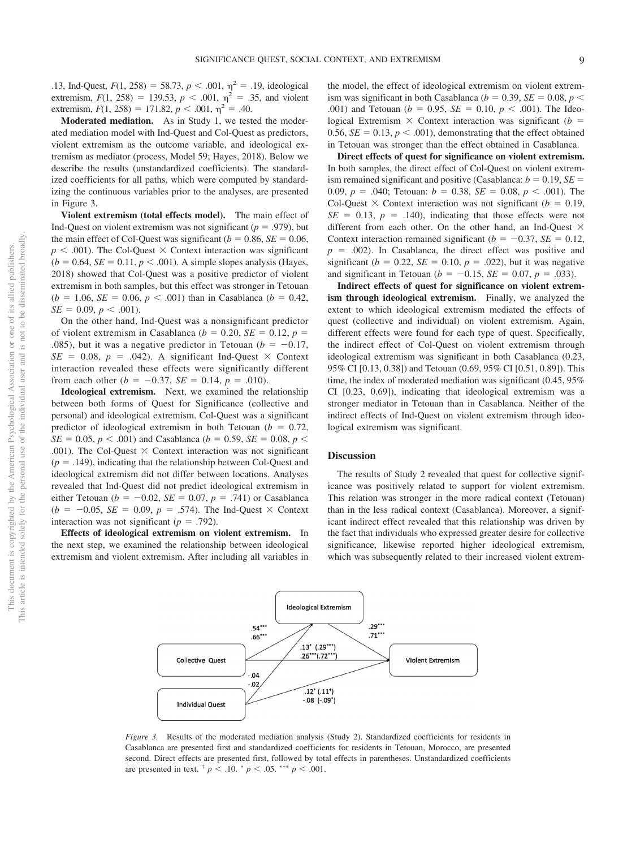.13, Ind-Quest,  $F(1, 258) = 58.73$ ,  $p < .001$ ,  $\eta^2 = .19$ , ideological extremism,  $F(1, 258) = 139.53$ ,  $p < .001$ ,  $\eta^2 = .35$ , and violent extremism,  $F(1, 258) = 171.82, p < .001, \eta^2 = .40.$ 

**Moderated mediation.** As in Study 1, we tested the moderated mediation model with Ind-Quest and Col-Quest as predictors, violent extremism as the outcome variable, and ideological extremism as mediator (process, Model 59; Hayes, 2018). Below we describe the results (unstandardized coefficients). The standardized coefficients for all paths, which were computed by standardizing the continuous variables prior to the analyses, are presented in Figure 3.

**Violent extremism (total effects model).** The main effect of Ind-Quest on violent extremism was not significant ( $p = .979$ ), but the main effect of Col-Quest was significant  $(b = 0.86, SE = 0.06,$  $p < .001$ ). The Col-Quest  $\times$  Context interaction was significant  $(b = 0.64, SE = 0.11, p < .001)$ . A simple slopes analysis (Hayes, 2018) showed that Col-Quest was a positive predictor of violent extremism in both samples, but this effect was stronger in Tetouan  $(b = 1.06, SE = 0.06, p < .001)$  than in Casablanca  $(b = 0.42,$  $SE = 0.09, p < .001$ .

On the other hand, Ind-Quest was a nonsignificant predictor of violent extremism in Casablanca ( $b = 0.20$ ,  $SE = 0.12$ ,  $p =$ .085), but it was a negative predictor in Tetouan ( $b = -0.17$ ,  $SE = 0.08$ ,  $p = .042$ ). A significant Ind-Quest  $\times$  Context interaction revealed these effects were significantly different from each other  $(b = -0.37, SE = 0.14, p = .010)$ .

**Ideological extremism.** Next, we examined the relationship between both forms of Quest for Significance (collective and personal) and ideological extremism. Col-Quest was a significant predictor of ideological extremism in both Tetouan  $(b = 0.72)$ ,  $SE = 0.05, p < .001$ ) and Casablanca (*b* = 0.59, *SE* = 0.08, *p* < .001). The Col-Quest  $\times$  Context interaction was not significant  $(p = .149)$ , indicating that the relationship between Col-Quest and ideological extremism did not differ between locations. Analyses revealed that Ind-Quest did not predict ideological extremism in either Tetouan ( $b = -0.02$ ,  $SE = 0.07$ ,  $p = .741$ ) or Casablanca  $(b = -0.05, \, SE = 0.09, \, p = .574)$ . The Ind-Quest  $\times$  Context interaction was not significant ( $p = .792$ ).

**Effects of ideological extremism on violent extremism.** In the next step, we examined the relationship between ideological extremism and violent extremism. After including all variables in

the model, the effect of ideological extremism on violent extremism was significant in both Casablanca ( $b = 0.39$ ,  $SE = 0.08$ ,  $p <$ .001) and Tetouan ( $b = 0.95$ ,  $SE = 0.10$ ,  $p < .001$ ). The Ideological Extremism  $\times$  Context interaction was significant ( $b =$ 0.56,  $SE = 0.13$ ,  $p < .001$ ), demonstrating that the effect obtained in Tetouan was stronger than the effect obtained in Casablanca.

**Direct effects of quest for significance on violent extremism.** In both samples, the direct effect of Col-Quest on violent extremism remained significant and positive (Casablanca:  $b = 0.19$ ,  $SE =$ 0.09,  $p = 0.040$ ; Tetouan:  $b = 0.38$ ,  $SE = 0.08$ ,  $p < 0.001$ ). The Col-Quest  $\times$  Context interaction was not significant ( $b = 0.19$ ,  $SE = 0.13$ ,  $p = .140$ ), indicating that those effects were not different from each other. On the other hand, an Ind-Quest  $\times$ Context interaction remained significant ( $b = -0.37$ , *SE* = 0.12,  $p = .002$ ). In Casablanca, the direct effect was positive and significant ( $b = 0.22$ ,  $SE = 0.10$ ,  $p = .022$ ), but it was negative and significant in Tetouan ( $b = -0.15$ ,  $SE = 0.07$ ,  $p = .033$ ).

**Indirect effects of quest for significance on violent extremism through ideological extremism.** Finally, we analyzed the extent to which ideological extremism mediated the effects of quest (collective and individual) on violent extremism. Again, different effects were found for each type of quest. Specifically, the indirect effect of Col-Quest on violent extremism through ideological extremism was significant in both Casablanca (0.23, 95% CI [0.13, 0.38]) and Tetouan (0.69, 95% CI [0.51, 0.89]). This time, the index of moderated mediation was significant (0.45, 95% CI [0.23, 0.69]), indicating that ideological extremism was a stronger mediator in Tetouan than in Casablanca. Neither of the indirect effects of Ind-Quest on violent extremism through ideological extremism was significant.

## **Discussion**

The results of Study 2 revealed that quest for collective significance was positively related to support for violent extremism. This relation was stronger in the more radical context (Tetouan) than in the less radical context (Casablanca). Moreover, a significant indirect effect revealed that this relationship was driven by the fact that individuals who expressed greater desire for collective significance, likewise reported higher ideological extremism, which was subsequently related to their increased violent extrem-



*Figure 3.* Results of the moderated mediation analysis (Study 2). Standardized coefficients for residents in Casablanca are presented first and standardized coefficients for residents in Tetouan, Morocco, are presented second. Direct effects are presented first, followed by total effects in parentheses. Unstandardized coefficients are presented in text.  $\frac{1}{p}$   $p < .10$ .  $\frac{1}{p}$   $p < .05$ .  $\frac{1}{p}$   $p < .001$ .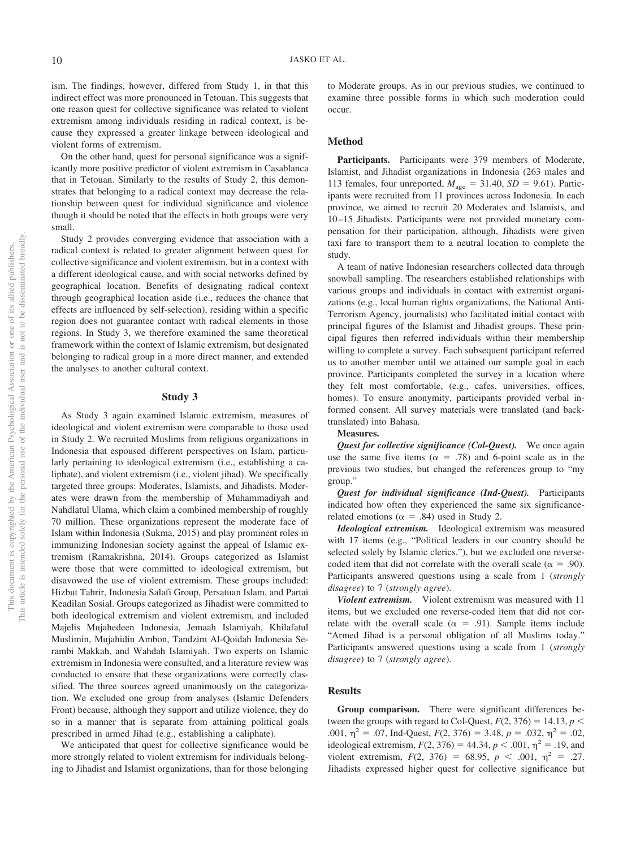ism. The findings, however, differed from Study 1, in that this indirect effect was more pronounced in Tetouan. This suggests that one reason quest for collective significance was related to violent extremism among individuals residing in radical context, is because they expressed a greater linkage between ideological and violent forms of extremism.

On the other hand, quest for personal significance was a significantly more positive predictor of violent extremism in Casablanca that in Tetouan. Similarly to the results of Study 2, this demonstrates that belonging to a radical context may decrease the relationship between quest for individual significance and violence though it should be noted that the effects in both groups were very small.

Study 2 provides converging evidence that association with a radical context is related to greater alignment between quest for collective significance and violent extremism, but in a context with a different ideological cause, and with social networks defined by geographical location. Benefits of designating radical context through geographical location aside (i.e., reduces the chance that effects are influenced by self-selection), residing within a specific region does not guarantee contact with radical elements in those regions. In Study 3, we therefore examined the same theoretical framework within the context of Islamic extremism, but designated belonging to radical group in a more direct manner, and extended the analyses to another cultural context.

## **Study 3**

As Study 3 again examined Islamic extremism, measures of ideological and violent extremism were comparable to those used in Study 2. We recruited Muslims from religious organizations in Indonesia that espoused different perspectives on Islam, particularly pertaining to ideological extremism (i.e., establishing a caliphate), and violent extremism (i.e., violent jihad). We specifically targeted three groups: Moderates, Islamists, and Jihadists. Moderates were drawn from the membership of Muhammadiyah and Nahdlatul Ulama, which claim a combined membership of roughly 70 million. These organizations represent the moderate face of Islam within Indonesia (Sukma, 2015) and play prominent roles in immunizing Indonesian society against the appeal of Islamic extremism (Ramakrishna, 2014). Groups categorized as Islamist were those that were committed to ideological extremism, but disavowed the use of violent extremism. These groups included: Hizbut Tahrir, Indonesia Salafi Group, Persatuan Islam, and Partai Keadilan Sosial. Groups categorized as Jihadist were committed to both ideological extremism and violent extremism, and included Majelis Mujahedeen Indonesia, Jemaah Islamiyah, Khilafatul Muslimin, Mujahidin Ambon, Tandzim Al-Qoidah Indonesia Serambi Makkah, and Wahdah Islamiyah. Two experts on Islamic extremism in Indonesia were consulted, and a literature review was conducted to ensure that these organizations were correctly classified. The three sources agreed unanimously on the categorization. We excluded one group from analyses (Islamic Defenders Front) because, although they support and utilize violence, they do so in a manner that is separate from attaining political goals prescribed in armed Jihad (e.g., establishing a caliphate).

We anticipated that quest for collective significance would be more strongly related to violent extremism for individuals belonging to Jihadist and Islamist organizations, than for those belonging

to Moderate groups. As in our previous studies, we continued to examine three possible forms in which such moderation could occur.

### **Method**

**Participants.** Participants were 379 members of Moderate, Islamist, and Jihadist organizations in Indonesia (263 males and 113 females, four unreported,  $M_{\text{age}} = 31.40$ ,  $SD = 9.61$ ). Participants were recruited from 11 provinces across Indonesia. In each province, we aimed to recruit 20 Moderates and Islamists, and 10 –15 Jihadists. Participants were not provided monetary compensation for their participation, although, Jihadists were given taxi fare to transport them to a neutral location to complete the study.

A team of native Indonesian researchers collected data through snowball sampling. The researchers established relationships with various groups and individuals in contact with extremist organizations (e.g., local human rights organizations, the National Anti-Terrorism Agency, journalists) who facilitated initial contact with principal figures of the Islamist and Jihadist groups. These principal figures then referred individuals within their membership willing to complete a survey. Each subsequent participant referred us to another member until we attained our sample goal in each province. Participants completed the survey in a location where they felt most comfortable, (e.g., cafes, universities, offices, homes). To ensure anonymity, participants provided verbal informed consent. All survey materials were translated (and backtranslated) into Bahasa.

#### **Measures.**

*Quest for collective significance (Col-Quest).* We once again use the same five items ( $\alpha = .78$ ) and 6-point scale as in the previous two studies, but changed the references group to "my group."

*Quest for individual significance (Ind-Quest).* Participants indicated how often they experienced the same six significancerelated emotions ( $\alpha = .84$ ) used in Study 2.

*Ideological extremism.* Ideological extremism was measured with 17 items (e.g., "Political leaders in our country should be selected solely by Islamic clerics."), but we excluded one reversecoded item that did not correlate with the overall scale ( $\alpha = .90$ ). Participants answered questions using a scale from 1 (*strongly disagree*) to 7 (*strongly agree*).

*Violent extremism.* Violent extremism was measured with 11 items, but we excluded one reverse-coded item that did not correlate with the overall scale ( $\alpha$  = .91). Sample items include "Armed Jihad is a personal obligation of all Muslims today." Participants answered questions using a scale from 1 (*strongly disagree*) to 7 (*strongly agree*).

## **Results**

**Group comparison.** There were significant differences between the groups with regard to Col-Quest,  $F(2, 376) = 14.13$ ,  $p <$ .001,  $\eta^2 = .07$ , Ind-Quest,  $F(2, 376) = 3.48$ ,  $p = .032$ ,  $\eta^2 = .02$ , ideological extremism,  $F(2, 376) = 44.34$ ,  $p < .001$ ,  $\eta^2 = .19$ , and violent extremism,  $F(2, 376) = 68.95$ ,  $p < .001$ ,  $\eta^2 = .27$ . Jihadists expressed higher quest for collective significance but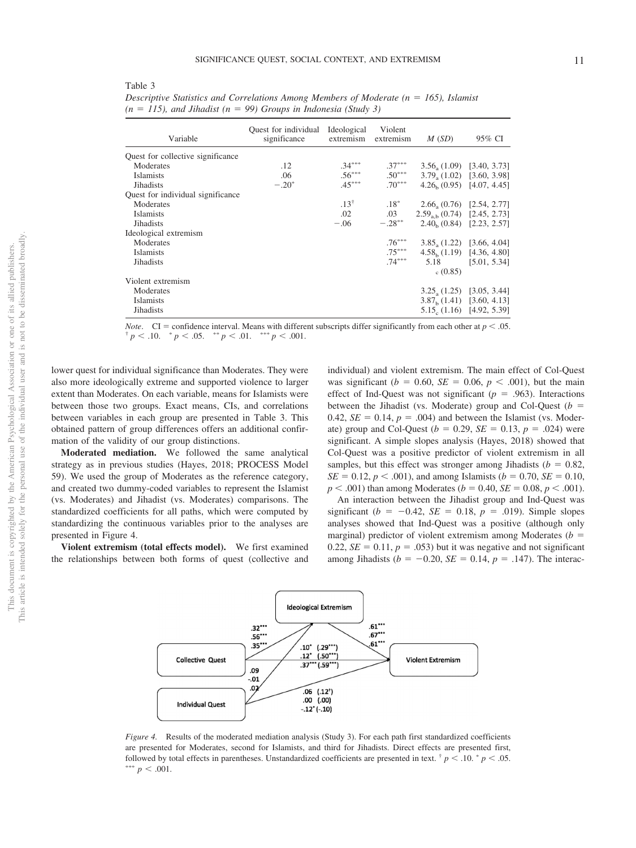This article is intended solely for the personal use of the individual user and is not to be disseminated broadly. not to be disseminated broadly one of its allied publishers. This document is copyrighted by the American Psychological Association or one of its allied publishers.  $\overleftarrow{\mathrm{O}}$ This document is copyrighted by the American Psychological Association or<br>This article is intended solely for the personal use of the individual user and is

|--|--|

Variable Quest for individual significance Ideological extremism Violent extremism *M* (*SD*) 95% CI Quest for collective significance Moderates .12<br>
Islamists .06 --\*  $.37***$  $3.56_a (1.09)$  [3.40, 3.73]<br> $3.79_a (1.02)$  [3.60, 3.98] **Islamists** --\*  $.50***$  $3.79_a (1.02)$  [3.60, 3.98]<br>4.26<sub>b</sub> (0.95) [4.07, 4.45] Jihadists  $-0.20$  $45***$ \*  $.70***$  $4.26<sub>b</sub>$  (0.95) Quest for individual significance Moderates .13<sup>†</sup> .18<sup>\*</sup> .18<sup>\*</sup>  $.18^*$  2.66<sub>a</sub> (0.76) [2.54, 2.77]<br>  $.03$  2.59<sub>ab</sub> (0.74) [2.45, 2.73]  $\text{Islamists}$  .02 .03 2.59<sub>a,b</sub> (0.74) [2.45, 2.73]<br>Jihadists -.06 -.28<sup>\*\*</sup> 2.40<sub>b</sub> (0.84) [2.23, 2.57] Jihadists  $-.28^*$  $-.28***$  $2.40<sub>b</sub>$  (0.84) Ideological extremism Moderates .76<sup>\*</sup> -- $3.85_a (1.22)$  [3.66, 4.04]<br>4.58, (1.19) [4.36, 4.80] Islamists .75<sup>\*</sup> -- $4.58<sub>b</sub>$  (1.19)  $Jihadists$  .74 $*$ -- 5.18  $c(0.85)$ [5.01, 5.34] Violent extremism Moderates  $3.25_{\text{a}}(1.25)$  [3.05, 3.44]<br>Islamists  $3.87_{\text{b}}(1.41)$  [3.60, 4.13] Islamists 3.87<sub>b</sub> (1.41) [3.60, 4.13]<br>Jihadists 5.15<sub>c</sub> (1.16) [4.92, 5.39] Jihadists  $5.15_c (1.16)$  [4.92, 5.39]

*Descriptive Statistics and Correlations Among Members of Moderate (n = 165), Islamist*  $(n = 115)$ , and Jihadist  $(n = 99)$  Groups in Indonesia (Study 3)

*Note.* CI = confidence interval. Means with different subscripts differ significantly from each other at  $p < .05$ .<br>
<sup>†</sup> *p* < .10. \* *p* < .05. \*\* *p* < .01. \*\*\* *p* < .001.  $p < .05.$  \*\*  $p < .01.$  \*\*\*  $p < .001.$ 

lower quest for individual significance than Moderates. They were also more ideologically extreme and supported violence to larger extent than Moderates. On each variable, means for Islamists were between those two groups. Exact means, CIs, and correlations between variables in each group are presented in Table 3. This obtained pattern of group differences offers an additional confirmation of the validity of our group distinctions.

**Moderated mediation.** We followed the same analytical strategy as in previous studies (Hayes, 2018; PROCESS Model 59). We used the group of Moderates as the reference category, and created two dummy-coded variables to represent the Islamist (vs. Moderates) and Jihadist (vs. Moderates) comparisons. The standardized coefficients for all paths, which were computed by standardizing the continuous variables prior to the analyses are presented in Figure 4.

**Violent extremism (total effects model).** We first examined the relationships between both forms of quest (collective and individual) and violent extremism. The main effect of Col-Quest was significant ( $b = 0.60$ ,  $SE = 0.06$ ,  $p < .001$ ), but the main effect of Ind-Quest was not significant  $(p = .963)$ . Interactions between the Jihadist (vs. Moderate) group and Col-Quest ( $b =$ 0.42,  $SE = 0.14$ ,  $p = .004$ ) and between the Islamist (vs. Moderate) group and Col-Quest ( $b = 0.29$ ,  $SE = 0.13$ ,  $p = .024$ ) were significant. A simple slopes analysis (Hayes, 2018) showed that Col-Quest was a positive predictor of violent extremism in all samples, but this effect was stronger among Jihadists ( $b = 0.82$ ,  $SE = 0.12, p < .001$ , and among Islamists (*b* = 0.70, *SE* = 0.10,  $p < .001$ ) than among Moderates ( $b = 0.40$ ,  $SE = 0.08$ ,  $p < .001$ ).

An interaction between the Jihadist group and Ind-Quest was significant ( $b = -0.42$ ,  $SE = 0.18$ ,  $p = .019$ ). Simple slopes analyses showed that Ind-Quest was a positive (although only marginal) predictor of violent extremism among Moderates  $(b =$ 0.22,  $SE = 0.11$ ,  $p = .053$ ) but it was negative and not significant among Jihadists ( $b = -0.20$ ,  $SE = 0.14$ ,  $p = .147$ ). The interac-



*Figure 4.* Results of the moderated mediation analysis (Study 3). For each path first standardized coefficients are presented for Moderates, second for Islamists, and third for Jihadists. Direct effects are presented first, followed by total effects in parentheses. Unstandardized coefficients are presented in text.  $\frac{p}{q} < 0.10 \cdot p < 0.05$ . \*\*\*  $p < .001$ .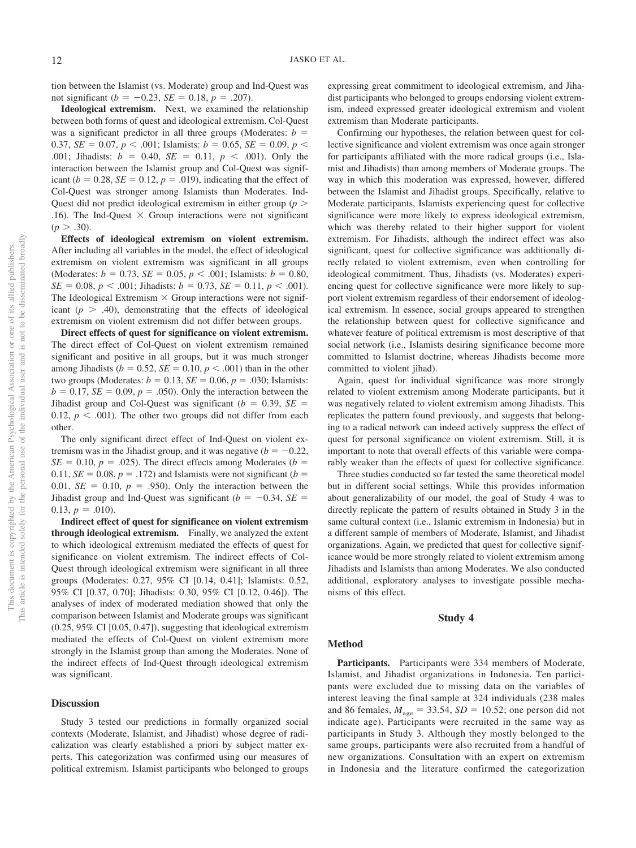tion between the Islamist (vs. Moderate) group and Ind-Quest was not significant ( $b = -0.23$ ,  $SE = 0.18$ ,  $p = .207$ ).

**Ideological extremism.** Next, we examined the relationship between both forms of quest and ideological extremism. Col-Quest was a significant predictor in all three groups (Moderates:  $b =$ 0.37, *SE* = 0.07,  $p < .001$ ; Islamists:  $b = 0.65$ , *SE* = 0.09,  $p <$ .001; Jihadists:  $b = 0.40$ ,  $SE = 0.11$ ,  $p < .001$ ). Only the interaction between the Islamist group and Col-Quest was significant ( $b = 0.28$ ,  $SE = 0.12$ ,  $p = .019$ ), indicating that the effect of Col-Quest was stronger among Islamists than Moderates. Ind-Quest did not predict ideological extremism in either group (*p* .16). The Ind-Quest  $\times$  Group interactions were not significant  $(p > .30)$ .

**Effects of ideological extremism on violent extremism.** After including all variables in the model, the effect of ideological extremism on violent extremism was significant in all groups (Moderates:  $b = 0.73$ ,  $SE = 0.05$ ,  $p < .001$ ; Islamists:  $b = 0.80$ ,  $SE = 0.08, p < .001$ ; Jihadists:  $b = 0.73, SE = 0.11, p < .001$ ). The Ideological Extremism  $\times$  Group interactions were not significant  $(p > .40)$ , demonstrating that the effects of ideological extremism on violent extremism did not differ between groups.

**Direct effects of quest for significance on violent extremism.** The direct effect of Col-Quest on violent extremism remained significant and positive in all groups, but it was much stronger among Jihadists ( $b = 0.52$ ,  $SE = 0.10$ ,  $p < .001$ ) than in the other two groups (Moderates:  $b = 0.13$ ,  $SE = 0.06$ ,  $p = .030$ ; Islamists:  $b = 0.17$ ,  $SE = 0.09$ ,  $p = .050$ ). Only the interaction between the Jihadist group and Col-Quest was significant  $(b = 0.39, SE =$ 0.12,  $p < .001$ ). The other two groups did not differ from each other.

The only significant direct effect of Ind-Quest on violent extremism was in the Jihadist group, and it was negative  $(b = -0.22,$  $SE = 0.10$ ,  $p = .025$ ). The direct effects among Moderates (*b* = 0.11,  $SE = 0.08$ ,  $p = .172$ ) and Islamists were not significant ( $b =$ 0.01,  $SE = 0.10$ ,  $p = .950$ ). Only the interaction between the Jihadist group and Ind-Quest was significant  $(b = -0.34, SE =$  $0.13, p = .010$ ).

**Indirect effect of quest for significance on violent extremism through ideological extremism.** Finally, we analyzed the extent to which ideological extremism mediated the effects of quest for significance on violent extremism. The indirect effects of Col-Quest through ideological extremism were significant in all three groups (Moderates: 0.27, 95% CI [0.14, 0.41]; Islamists: 0.52, 95% CI [0.37, 0.70]; Jihadists: 0.30, 95% CI [0.12, 0.46]). The analyses of index of moderated mediation showed that only the comparison between Islamist and Moderate groups was significant (0.25, 95% CI [0.05, 0.47]), suggesting that ideological extremism mediated the effects of Col-Quest on violent extremism more strongly in the Islamist group than among the Moderates. None of the indirect effects of Ind-Quest through ideological extremism was significant.

#### **Discussion**

Study 3 tested our predictions in formally organized social contexts (Moderate, Islamist, and Jihadist) whose degree of radicalization was clearly established a priori by subject matter experts. This categorization was confirmed using our measures of political extremism. Islamist participants who belonged to groups

expressing great commitment to ideological extremism, and Jihadist participants who belonged to groups endorsing violent extremism, indeed expressed greater ideological extremism and violent extremism than Moderate participants.

Confirming our hypotheses, the relation between quest for collective significance and violent extremism was once again stronger for participants affiliated with the more radical groups (i.e., Islamist and Jihadists) than among members of Moderate groups. The way in which this moderation was expressed, however, differed between the Islamist and Jihadist groups. Specifically, relative to Moderate participants, Islamists experiencing quest for collective significance were more likely to express ideological extremism, which was thereby related to their higher support for violent extremism. For Jihadists, although the indirect effect was also significant, quest for collective significance was additionally directly related to violent extremism, even when controlling for ideological commitment. Thus, Jihadists (vs. Moderates) experiencing quest for collective significance were more likely to support violent extremism regardless of their endorsement of ideological extremism. In essence, social groups appeared to strengthen the relationship between quest for collective significance and whatever feature of political extremism is most descriptive of that social network (i.e., Islamists desiring significance become more committed to Islamist doctrine, whereas Jihadists become more committed to violent jihad).

Again, quest for individual significance was more strongly related to violent extremism among Moderate participants, but it was negatively related to violent extremism among Jihadists. This replicates the pattern found previously, and suggests that belonging to a radical network can indeed actively suppress the effect of quest for personal significance on violent extremism. Still, it is important to note that overall effects of this variable were comparably weaker than the effects of quest for collective significance.

Three studies conducted so far tested the same theoretical model but in different social settings. While this provides information about generalizability of our model, the goal of Study 4 was to directly replicate the pattern of results obtained in Study 3 in the same cultural context (i.e., Islamic extremism in Indonesia) but in a different sample of members of Moderate, Islamist, and Jihadist organizations. Again, we predicted that quest for collective significance would be more strongly related to violent extremism among Jihadists and Islamists than among Moderates. We also conducted additional, exploratory analyses to investigate possible mechanisms of this effect.

## **Study 4**

## **Method**

**Participants.** Participants were 334 members of Moderate, Islamist, and Jihadist organizations in Indonesia. Ten participants were excluded due to missing data on the variables of interest leaving the final sample at 324 individuals (238 males and 86 females,  $M_{\text{age}} = 33.54$ ,  $SD = 10.52$ ; one person did not indicate age). Participants were recruited in the same way as participants in Study 3. Although they mostly belonged to the same groups, participants were also recruited from a handful of new organizations. Consultation with an expert on extremism in Indonesia and the literature confirmed the categorization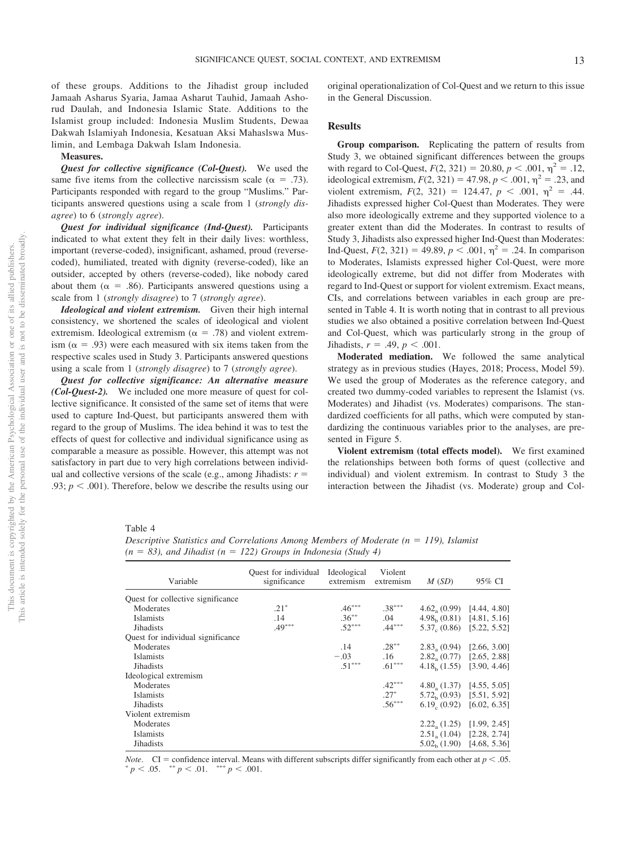of these groups. Additions to the Jihadist group included Jamaah Asharus Syaria, Jamaa Asharut Tauhid, Jamaah Ashorud Daulah, and Indonesia Islamic State. Additions to the Islamist group included: Indonesia Muslim Students, Dewaa Dakwah Islamiyah Indonesia, Kesatuan Aksi Mahaslswa Muslimin, and Lembaga Dakwah Islam Indonesia.

#### **Measures.**

*Quest for collective significance (Col-Quest).* We used the same five items from the collective narcissism scale ( $\alpha = .73$ ). Participants responded with regard to the group "Muslims." Participants answered questions using a scale from 1 (*strongly disagree*) to 6 (*strongly agree*).

*Quest for individual significance (Ind-Quest).* Participants indicated to what extent they felt in their daily lives: worthless, important (reverse-coded), insignificant, ashamed, proud (reversecoded), humiliated, treated with dignity (reverse-coded), like an outsider, accepted by others (reverse-coded), like nobody cared about them ( $\alpha = .86$ ). Participants answered questions using a scale from 1 (*strongly disagree*) to 7 (*strongly agree*).

*Ideological and violent extremism.* Given their high internal consistency, we shortened the scales of ideological and violent extremism. Ideological extremism ( $\alpha = .78$ ) and violent extremism ( $\alpha$  = .93) were each measured with six items taken from the respective scales used in Study 3. Participants answered questions using a scale from 1 (*strongly disagree*) to 7 (*strongly agree*).

*Quest for collective significance: An alternative measure (Col-Quest-2).* We included one more measure of quest for collective significance. It consisted of the same set of items that were used to capture Ind-Quest, but participants answered them with regard to the group of Muslims. The idea behind it was to test the effects of quest for collective and individual significance using as comparable a measure as possible. However, this attempt was not satisfactory in part due to very high correlations between individual and collective versions of the scale (e.g., among Jihadists:  $r =$ .93;  $p < .001$ ). Therefore, below we describe the results using our original operationalization of Col-Quest and we return to this issue in the General Discussion.

## **Results**

**Group comparison.** Replicating the pattern of results from Study 3, we obtained significant differences between the groups with regard to Col-Quest,  $F(2, 321) = 20.80, p < .001, \eta^2 = .12,$ ideological extremism,  $F(2, 321) = 47.98$ ,  $p < .001$ ,  $\eta^2 = .23$ , and violent extremism,  $F(2, 321) = 124.47$ ,  $p < .001$ ,  $\eta^2 = .44$ . Jihadists expressed higher Col-Quest than Moderates. They were also more ideologically extreme and they supported violence to a greater extent than did the Moderates. In contrast to results of Study 3, Jihadists also expressed higher Ind-Quest than Moderates: Ind-Quest,  $F(2, 321) = 49.89, p < .001, \eta^2 = .24$ . In comparison to Moderates, Islamists expressed higher Col-Quest, were more ideologically extreme, but did not differ from Moderates with regard to Ind-Quest or support for violent extremism. Exact means, CIs, and correlations between variables in each group are presented in [Table 4.](#page-13-0) It is worth noting that in contrast to all previous studies we also obtained a positive correlation between Ind-Quest and Col-Quest, which was particularly strong in the group of  $Jihadists, r = .49, p < .001$ .

**Moderated mediation.** We followed the same analytical strategy as in previous studies (Hayes, 2018; Process, Model 59). We used the group of Moderates as the reference category, and created two dummy-coded variables to represent the Islamist (vs. Moderates) and Jihadist (vs. Moderates) comparisons. The standardized coefficients for all paths, which were computed by standardizing the continuous variables prior to the analyses, are presented in Figure 5.

**Violent extremism (total effects model).** We first examined the relationships between both forms of quest (collective and individual) and violent extremism. In contrast to Study 3 the interaction between the Jihadist (vs. Moderate) group and Col-

## <span id="page-13-0"></span>Table 4

*Descriptive Statistics and Correlations Among Members of Moderate (n = 119), Islamist*  $(n = 83)$ , and Jihadist  $(n = 122)$  Groups in Indonesia (Study 4)

| Variable                          | Quest for individual Ideological<br>significance | extremism extremism | Violent  | M(SD)                                | 95% CI |
|-----------------------------------|--------------------------------------------------|---------------------|----------|--------------------------------------|--------|
| Quest for collective significance |                                                  |                     |          |                                      |        |
| Moderates                         | $.21*$                                           | $.46***$            | $.38***$ | $4.62a(0.99)$ [4.44, 4.80]           |        |
| <b>Islamists</b>                  | .14                                              | $.36***$            | .04      | $4.98b(0.81)$ [4.81, 5.16]           |        |
| <b>Jihadists</b>                  | $.49***$                                         | $.52***$            | $.44***$ | $5.37c$ (0.86) [5.22, 5.52]          |        |
| Ouest for individual significance |                                                  |                     |          |                                      |        |
| Moderates                         |                                                  | .14                 | $.28***$ | $2.83a(0.94)$ [2.66, 3.00]           |        |
| <b>Islamists</b>                  |                                                  | $-.03$              | .16      | $2.82a(0.77)$ [2.65, 2.88]           |        |
| <b>Jihadists</b>                  |                                                  | $.51***$            | $.61***$ | $4.18b$ (1.55) [3.90, 4.46]          |        |
| Ideological extremism             |                                                  |                     |          |                                      |        |
| Moderates                         |                                                  |                     | $.42***$ | $4.80_{\circ}$ (1.37) [4.55, 5.05]   |        |
| Islamists                         |                                                  |                     | $.27*$   | $5.72b$ (0.93) [5.51, 5.92]          |        |
| Jihadists                         |                                                  |                     | $.56***$ | $6.19_c (0.92)$ [6.02, 6.35]         |        |
| Violent extremism                 |                                                  |                     |          |                                      |        |
| Moderates                         |                                                  |                     |          | $2.22_{\text{a}}(1.25)$ [1.99, 2.45] |        |
| <b>Islamists</b>                  |                                                  |                     |          | $2.51a (1.04)$ [2.28, 2.74]          |        |
| <b>Jihadists</b>                  |                                                  |                     |          | $5.02b$ (1.90) [4.68, 5.36]          |        |
|                                   |                                                  |                     |          |                                      |        |

*Note.* CI = confidence interval. Means with different subscripts differ significantly from each other at  $p < .05$ .  $p < .05.$  \*\*  $p < .01.$  \*\*\*  $p < .001.$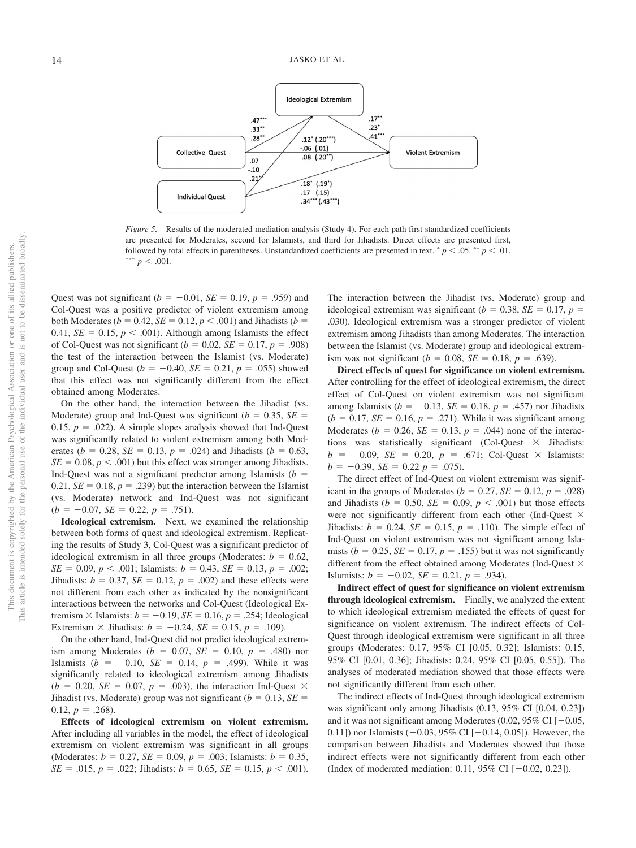

*Figure 5.* Results of the moderated mediation analysis (Study 4). For each path first standardized coefficients are presented for Moderates, second for Islamists, and third for Jihadists. Direct effects are presented first, followed by total effects in parentheses. Unstandardized coefficients are presented in text.  $p < 0.05$ .  $* p < 0.01$ . \*\*\*  $p < .001$ .

Quest was not significant ( $b = -0.01$ ,  $SE = 0.19$ ,  $p = .959$ ) and Col-Quest was a positive predictor of violent extremism among both Moderates ( $b = 0.42$ ,  $SE = 0.12$ ,  $p < .001$ ) and Jihadists ( $b =$ 0.41,  $SE = 0.15$ ,  $p < .001$ ). Although among Islamists the effect of Col-Quest was not significant ( $b = 0.02$ ,  $SE = 0.17$ ,  $p = .908$ ) the test of the interaction between the Islamist (vs. Moderate) group and Col-Quest ( $b = -0.40$ ,  $SE = 0.21$ ,  $p = .055$ ) showed that this effect was not significantly different from the effect obtained among Moderates.

On the other hand, the interaction between the Jihadist (vs. Moderate) group and Ind-Quest was significant  $(b = 0.35, SE =$ 0.15,  $p = .022$ ). A simple slopes analysis showed that Ind-Quest was significantly related to violent extremism among both Moderates ( $b = 0.28$ ,  $SE = 0.13$ ,  $p = .024$ ) and Jihadists ( $b = 0.63$ ,  $SE = 0.08, p < .001$ ) but this effect was stronger among Jihadists. Ind-Quest was not a significant predictor among Islamists  $(b =$ 0.21,  $SE = 0.18$ ,  $p = .239$ ) but the interaction between the Islamist (vs. Moderate) network and Ind-Quest was not significant  $(b = -0.07, \, SE = 0.22, \, p = .751).$ 

**Ideological extremism.** Next, we examined the relationship between both forms of quest and ideological extremism. Replicating the results of Study 3, Col-Quest was a significant predictor of ideological extremism in all three groups (Moderates:  $b = 0.62$ ,  $SE = 0.09, p < .001$ ; Islamists:  $b = 0.43, SE = 0.13, p = .002$ ; Jihadists:  $b = 0.37$ ,  $SE = 0.12$ ,  $p = .002$ ) and these effects were not different from each other as indicated by the nonsignificant interactions between the networks and Col-Quest (Ideological Extremism  $\times$  Islamists:  $b = -0.19$ ,  $SE = 0.16$ ,  $p = .254$ ; Ideological Extremism  $\times$  Jihadists:  $b = -0.24$ ,  $SE = 0.15$ ,  $p = .109$ ).

On the other hand, Ind-Quest did not predict ideological extremism among Moderates ( $b = 0.07$ ,  $SE = 0.10$ ,  $p = .480$ ) nor Islamists ( $b = -0.10$ ,  $SE = 0.14$ ,  $p = .499$ ). While it was significantly related to ideological extremism among Jihadists  $(b = 0.20, \, SE = 0.07, \, p = .003)$ , the interaction Ind-Quest  $\times$ Jihadist (vs. Moderate) group was not significant ( $b = 0.13$ ,  $SE =$  $0.12, p = .268$ ).

**Effects of ideological extremism on violent extremism.** After including all variables in the model, the effect of ideological extremism on violent extremism was significant in all groups (Moderates:  $b = 0.27$ ,  $SE = 0.09$ ,  $p = .003$ ; Islamists:  $b = 0.35$ ,  $SE = .015$ ,  $p = .022$ ; Jihadists:  $b = 0.65$ ,  $SE = 0.15$ ,  $p < .001$ ). The interaction between the Jihadist (vs. Moderate) group and ideological extremism was significant ( $b = 0.38$ , *SE* = 0.17,  $p =$ .030). Ideological extremism was a stronger predictor of violent extremism among Jihadists than among Moderates. The interaction between the Islamist (vs. Moderate) group and ideological extremism was not significant ( $b = 0.08$ ,  $SE = 0.18$ ,  $p = .639$ ).

**Direct effects of quest for significance on violent extremism.** After controlling for the effect of ideological extremism, the direct effect of Col-Quest on violent extremism was not significant among Islamists ( $b = -0.13$ ,  $SE = 0.18$ ,  $p = .457$ ) nor Jihadists  $(b = 0.17, SE = 0.16, p = .271)$ . While it was significant among Moderates ( $b = 0.26$ ,  $SE = 0.13$ ,  $p = .044$ ) none of the interactions was statistically significant (Col-Quest  $\times$  Jihadists:  $b = -0.09$ , *SE* = 0.20,  $p = .671$ ; Col-Quest  $\times$  Islamists:  $b = -0.39$ , *SE* = 0.22  $p = .075$ ).

The direct effect of Ind-Quest on violent extremism was significant in the groups of Moderates ( $b = 0.27$ ,  $SE = 0.12$ ,  $p = .028$ ) and Jihadists ( $b = 0.50$ ,  $SE = 0.09$ ,  $p < .001$ ) but those effects were not significantly different from each other (Ind-Quest  $\times$ Jihadists:  $b = 0.24$ ,  $SE = 0.15$ ,  $p = .110$ ). The simple effect of Ind-Quest on violent extremism was not significant among Islamists ( $b = 0.25$ ,  $SE = 0.17$ ,  $p = .155$ ) but it was not significantly different from the effect obtained among Moderates (Ind-Quest  $\times$ Islamists:  $b = -0.02$ ,  $SE = 0.21$ ,  $p = .934$ ).

**Indirect effect of quest for significance on violent extremism through ideological extremism.** Finally, we analyzed the extent to which ideological extremism mediated the effects of quest for significance on violent extremism. The indirect effects of Col-Quest through ideological extremism were significant in all three groups (Moderates: 0.17, 95% CI [0.05, 0.32]; Islamists: 0.15, 95% CI [0.01, 0.36]; Jihadists: 0.24, 95% CI [0.05, 0.55]). The analyses of moderated mediation showed that those effects were not significantly different from each other.

The indirect effects of Ind-Quest through ideological extremism was significant only among Jihadists (0.13, 95% CI [0.04, 0.23]) and it was not significant among Moderates (0.02,  $95\%$  CI [ $-0.05$ , 0.11]) nor Islamists  $(-0.03, 95\% \text{ CI } [-0.14, 0.05])$ . However, the comparison between Jihadists and Moderates showed that those indirect effects were not significantly different from each other (Index of moderated mediation: 0.11, 95% CI  $[-0.02, 0.23]$ ).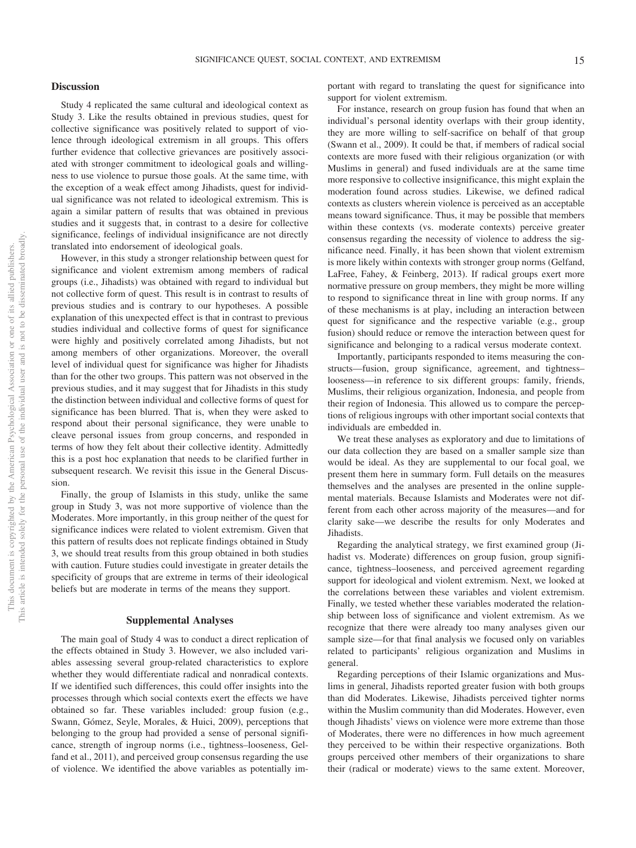## **Discussion**

Study 4 replicated the same cultural and ideological context as Study 3. Like the results obtained in previous studies, quest for collective significance was positively related to support of violence through ideological extremism in all groups. This offers further evidence that collective grievances are positively associated with stronger commitment to ideological goals and willingness to use violence to pursue those goals. At the same time, with the exception of a weak effect among Jihadists, quest for individual significance was not related to ideological extremism. This is again a similar pattern of results that was obtained in previous studies and it suggests that, in contrast to a desire for collective significance, feelings of individual insignificance are not directly translated into endorsement of ideological goals.

However, in this study a stronger relationship between quest for significance and violent extremism among members of radical groups (i.e., Jihadists) was obtained with regard to individual but not collective form of quest. This result is in contrast to results of previous studies and is contrary to our hypotheses. A possible explanation of this unexpected effect is that in contrast to previous studies individual and collective forms of quest for significance were highly and positively correlated among Jihadists, but not among members of other organizations. Moreover, the overall level of individual quest for significance was higher for Jihadists than for the other two groups. This pattern was not observed in the previous studies, and it may suggest that for Jihadists in this study the distinction between individual and collective forms of quest for significance has been blurred. That is, when they were asked to respond about their personal significance, they were unable to cleave personal issues from group concerns, and responded in terms of how they felt about their collective identity. Admittedly this is a post hoc explanation that needs to be clarified further in subsequent research. We revisit this issue in the General Discussion.

Finally, the group of Islamists in this study, unlike the same group in Study 3, was not more supportive of violence than the Moderates. More importantly, in this group neither of the quest for significance indices were related to violent extremism. Given that this pattern of results does not replicate findings obtained in Study 3, we should treat results from this group obtained in both studies with caution. Future studies could investigate in greater details the specificity of groups that are extreme in terms of their ideological beliefs but are moderate in terms of the means they support.

### **Supplemental Analyses**

The main goal of Study 4 was to conduct a direct replication of the effects obtained in Study 3. However, we also included variables assessing several group-related characteristics to explore whether they would differentiate radical and nonradical contexts. If we identified such differences, this could offer insights into the processes through which social contexts exert the effects we have obtained so far. These variables included: group fusion (e.g., Swann, Gómez, Seyle, Morales, & Huici, 2009), perceptions that belonging to the group had provided a sense of personal significance, strength of ingroup norms (i.e., tightness–looseness, Gelfand et al., 2011), and perceived group consensus regarding the use of violence. We identified the above variables as potentially important with regard to translating the quest for significance into support for violent extremism.

For instance, research on group fusion has found that when an individual's personal identity overlaps with their group identity, they are more willing to self-sacrifice on behalf of that group (Swann et al., 2009). It could be that, if members of radical social contexts are more fused with their religious organization (or with Muslims in general) and fused individuals are at the same time more responsive to collective insignificance, this might explain the moderation found across studies. Likewise, we defined radical contexts as clusters wherein violence is perceived as an acceptable means toward significance. Thus, it may be possible that members within these contexts (vs. moderate contexts) perceive greater consensus regarding the necessity of violence to address the significance need. Finally, it has been shown that violent extremism is more likely within contexts with stronger group norms (Gelfand, LaFree, Fahey, & Feinberg, 2013). If radical groups exert more normative pressure on group members, they might be more willing to respond to significance threat in line with group norms. If any of these mechanisms is at play, including an interaction between quest for significance and the respective variable (e.g., group fusion) should reduce or remove the interaction between quest for significance and belonging to a radical versus moderate context.

Importantly, participants responded to items measuring the constructs—fusion, group significance, agreement, and tightness– looseness—in reference to six different groups: family, friends, Muslims, their religious organization, Indonesia, and people from their region of Indonesia. This allowed us to compare the perceptions of religious ingroups with other important social contexts that individuals are embedded in.

We treat these analyses as exploratory and due to limitations of our data collection they are based on a smaller sample size than would be ideal. As they are supplemental to our focal goal, we present them here in summary form. Full details on the measures themselves and the analyses are presented in the [online supple](http://dx.doi.org/10.1037/pspi0000198.supp)[mental materials.](http://dx.doi.org/10.1037/pspi0000198.supp) Because Islamists and Moderates were not different from each other across majority of the measures—and for clarity sake—we describe the results for only Moderates and Jihadists.

Regarding the analytical strategy, we first examined group (Jihadist vs. Moderate) differences on group fusion, group significance, tightness–looseness, and perceived agreement regarding support for ideological and violent extremism. Next, we looked at the correlations between these variables and violent extremism. Finally, we tested whether these variables moderated the relationship between loss of significance and violent extremism. As we recognize that there were already too many analyses given our sample size—for that final analysis we focused only on variables related to participants' religious organization and Muslims in general.

Regarding perceptions of their Islamic organizations and Muslims in general, Jihadists reported greater fusion with both groups than did Moderates. Likewise, Jihadists perceived tighter norms within the Muslim community than did Moderates. However, even though Jihadists' views on violence were more extreme than those of Moderates, there were no differences in how much agreement they perceived to be within their respective organizations. Both groups perceived other members of their organizations to share their (radical or moderate) views to the same extent. Moreover,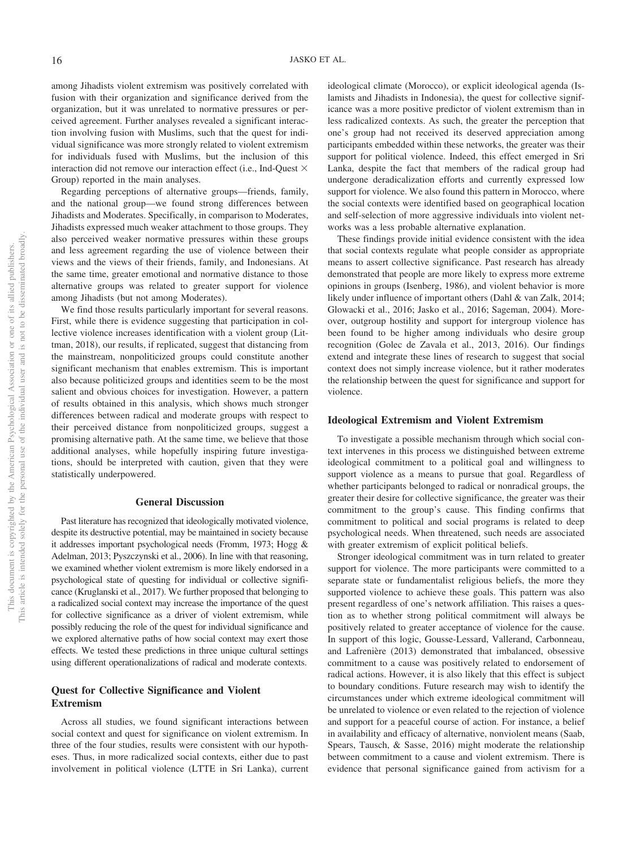among Jihadists violent extremism was positively correlated with fusion with their organization and significance derived from the organization, but it was unrelated to normative pressures or perceived agreement. Further analyses revealed a significant interaction involving fusion with Muslims, such that the quest for individual significance was more strongly related to violent extremism for individuals fused with Muslims, but the inclusion of this interaction did not remove our interaction effect (i.e., Ind-Ouest  $\times$ Group) reported in the main analyses.

Regarding perceptions of alternative groups—friends, family, and the national group—we found strong differences between Jihadists and Moderates. Specifically, in comparison to Moderates, Jihadists expressed much weaker attachment to those groups. They also perceived weaker normative pressures within these groups and less agreement regarding the use of violence between their views and the views of their friends, family, and Indonesians. At the same time, greater emotional and normative distance to those alternative groups was related to greater support for violence among Jihadists (but not among Moderates).

We find those results particularly important for several reasons. First, while there is evidence suggesting that participation in collective violence increases identification with a violent group (Littman, 2018), our results, if replicated, suggest that distancing from the mainstream, nonpoliticized groups could constitute another significant mechanism that enables extremism. This is important also because politicized groups and identities seem to be the most salient and obvious choices for investigation. However, a pattern of results obtained in this analysis, which shows much stronger differences between radical and moderate groups with respect to their perceived distance from nonpoliticized groups, suggest a promising alternative path. At the same time, we believe that those additional analyses, while hopefully inspiring future investigations, should be interpreted with caution, given that they were statistically underpowered.

### **General Discussion**

Past literature has recognized that ideologically motivated violence, despite its destructive potential, may be maintained in society because it addresses important psychological needs (Fromm, 1973; Hogg & Adelman, 2013; Pyszczynski et al., 2006). In line with that reasoning, we examined whether violent extremism is more likely endorsed in a psychological state of questing for individual or collective significance (Kruglanski et al., 2017). We further proposed that belonging to a radicalized social context may increase the importance of the quest for collective significance as a driver of violent extremism, while possibly reducing the role of the quest for individual significance and we explored alternative paths of how social context may exert those effects. We tested these predictions in three unique cultural settings using different operationalizations of radical and moderate contexts.

## **Quest for Collective Significance and Violent Extremism**

Across all studies, we found significant interactions between social context and quest for significance on violent extremism. In three of the four studies, results were consistent with our hypotheses. Thus, in more radicalized social contexts, either due to past involvement in political violence (LTTE in Sri Lanka), current ideological climate (Morocco), or explicit ideological agenda (Islamists and Jihadists in Indonesia), the quest for collective significance was a more positive predictor of violent extremism than in less radicalized contexts. As such, the greater the perception that one's group had not received its deserved appreciation among participants embedded within these networks, the greater was their support for political violence. Indeed, this effect emerged in Sri Lanka, despite the fact that members of the radical group had undergone deradicalization efforts and currently expressed low support for violence. We also found this pattern in Morocco, where the social contexts were identified based on geographical location and self-selection of more aggressive individuals into violent networks was a less probable alternative explanation.

These findings provide initial evidence consistent with the idea that social contexts regulate what people consider as appropriate means to assert collective significance. Past research has already demonstrated that people are more likely to express more extreme opinions in groups (Isenberg, 1986), and violent behavior is more likely under influence of important others (Dahl & van Zalk, 2014; Glowacki et al., 2016; Jasko et al., 2016; Sageman, 2004). Moreover, outgroup hostility and support for intergroup violence has been found to be higher among individuals who desire group recognition (Golec de Zavala et al., 2013, 2016). Our findings extend and integrate these lines of research to suggest that social context does not simply increase violence, but it rather moderates the relationship between the quest for significance and support for violence.

## **Ideological Extremism and Violent Extremism**

To investigate a possible mechanism through which social context intervenes in this process we distinguished between extreme ideological commitment to a political goal and willingness to support violence as a means to pursue that goal. Regardless of whether participants belonged to radical or nonradical groups, the greater their desire for collective significance, the greater was their commitment to the group's cause. This finding confirms that commitment to political and social programs is related to deep psychological needs. When threatened, such needs are associated with greater extremism of explicit political beliefs.

Stronger ideological commitment was in turn related to greater support for violence. The more participants were committed to a separate state or fundamentalist religious beliefs, the more they supported violence to achieve these goals. This pattern was also present regardless of one's network affiliation. This raises a question as to whether strong political commitment will always be positively related to greater acceptance of violence for the cause. In support of this logic, Gousse-Lessard, Vallerand, Carbonneau, and Lafrenière (2013) demonstrated that imbalanced, obsessive commitment to a cause was positively related to endorsement of radical actions. However, it is also likely that this effect is subject to boundary conditions. Future research may wish to identify the circumstances under which extreme ideological commitment will be unrelated to violence or even related to the rejection of violence and support for a peaceful course of action. For instance, a belief in availability and efficacy of alternative, nonviolent means (Saab, Spears, Tausch, & Sasse, 2016) might moderate the relationship between commitment to a cause and violent extremism. There is evidence that personal significance gained from activism for a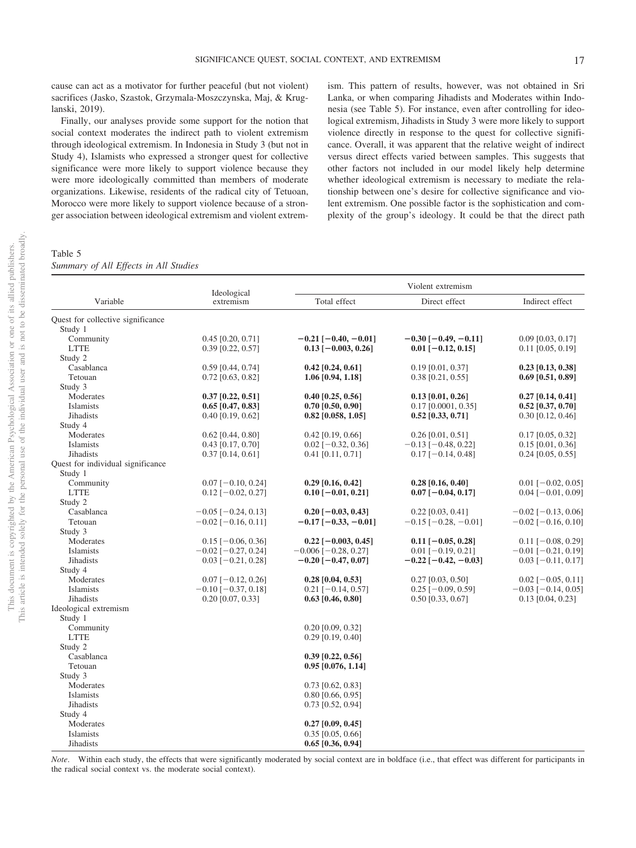cause can act as a motivator for further peaceful (but not violent) sacrifices (Jasko, Szastok, Grzymala-Moszczynska, Maj, & Kruglanski, 2019).

Finally, our analyses provide some support for the notion that social context moderates the indirect path to violent extremism through ideological extremism. In Indonesia in Study 3 (but not in Study 4), Islamists who expressed a stronger quest for collective significance were more likely to support violence because they were more ideologically committed than members of moderate organizations. Likewise, residents of the radical city of Tetuoan, Morocco were more likely to support violence because of a stronger association between ideological extremism and violent extrem-

<span id="page-17-0"></span>Table 5 *Summary of All Effects in All Studies* ism. This pattern of results, however, was not obtained in Sri Lanka, or when comparing Jihadists and Moderates within Indonesia (see [Table 5\)](#page-17-0). For instance, even after controlling for ideological extremism, Jihadists in Study 3 were more likely to support violence directly in response to the quest for collective significance. Overall, it was apparent that the relative weight of indirect versus direct effects varied between samples. This suggests that other factors not included in our model likely help determine whether ideological extremism is necessary to mediate the relationship between one's desire for collective significance and violent extremism. One possible factor is the sophistication and complexity of the group's ideology. It could be that the direct path

| Variable<br>Total effect<br>Direct effect<br>Indirect effect<br>extremism<br>Study 1<br>Community<br>$0.45$ [0.20, 0.71]<br>$-0.21$ [ $-0.40$ , $-0.01$ ]<br>$-0.30$ [ $-0.49, -0.11$ ]<br>$0.09$ [0.03, 0.17]<br><b>LTTE</b><br>$0.39$ [0.22, 0.57]<br>$0.13$ [-0.003, 0.26]<br>$0.01$ [-0.12, 0.15]<br>$0.11$ [0.05, 0.19]<br>Study 2<br>$0.42$ [0.24, 0.61]<br>Casablanca<br>$0.59$ [0.44, 0.74]<br>$0.19$ [0.01, 0.37]<br>$0.23$ [0.13, 0.38]<br>Tetouan<br>1.06 [0.94, 1.18]<br>$0.38$ [0.21, 0.55]<br>$0.69$ [0.51, 0.89]<br>$0.72$ [0.63, 0.82]<br>Study 3<br>$0.37$ [0.22, 0.51]<br>$0.13$ [0.01, 0.26]<br>Moderates<br>$0.40$ [0.25, 0.56]<br>$0.27$ [0.14, 0.41]<br><b>Islamists</b><br>$0.17$ [0.0001, 0.35]<br>$0.65$ [0.47, 0.83]<br>$0.70$ [0.50, 0.90]<br>$0.52$ [0.37, 0.70]<br><b>Jihadists</b><br>$0.40$ [0.19, 0.62]<br>$0.82$ [0.058, 1.05]<br>$0.52$ [0.33, 0.71]<br>$0.30$ [0.12, 0.46]<br>Study 4<br>Moderates<br>$0.62$ [0.44, 0.80]<br>$0.42$ [0.19, 0.66]<br>$0.26$ [0.01, 0.51]<br>$0.17$ [0.05, 0.32]<br><b>Islamists</b><br>$0.43$ [0.17, 0.70]<br>$0.02$ [-0.32, 0.36]<br>$-0.13$ [ $-0.48$ , 0.22]<br>$0.15$ [0.01, 0.36]<br><b>Jihadists</b><br>$0.37$ [0.14, 0.61]<br>$0.41$ [0.11, 0.71]<br>$0.17$ [-0.14, 0.48]<br>$0.24$ [0.05, 0.55]<br>Quest for individual significance<br>Study 1<br>Community<br>$0.29$ [0.16, 0.42]<br>$0.07$ [-0.10, 0.24]<br>$0.28$ [0.16, 0.40]<br>$0.01$ [-0.02, 0.05]<br><b>LTTE</b><br>$0.07[-0.04, 0.17]$<br>$0.12$ [-0.02, 0.27]<br>$0.10$ [-0.01, 0.21]<br>$0.04$ [ $-0.01$ , 0.09]<br>Study 2<br>Casablanca<br>$-0.05$ [ $-0.24$ , 0.13]<br>$0.20$ [-0.03, 0.43]<br>$0.22$ [0.03, 0.41]<br>$-0.02$ [ $-0.13, 0.06$ ]<br>Tetouan<br>$-0.02$ [ $-0.16$ , 0.11]<br>$-0.17$ [ $-0.33, -0.01$ ]<br>$-0.15$ [ $-0.28$ , $-0.01$ ]<br>$-0.02$ [ $-0.16$ , 0.10]<br>Study 3<br>Moderates<br>$0.15$ [-0.06, 0.36]<br>$0.22$ [-0.003, 0.45]<br>$0.11$ [-0.05, 0.28]<br>$0.11$ [-0.08, 0.29]<br><b>Islamists</b><br>$-0.02$ [ $-0.27, 0.24$ ]<br>$-0.006$ [ $-0.28$ , 0.27]<br>$0.01$ [-0.19, 0.21]<br>$-0.01$ [ $-0.21$ , 0.19]<br><b>Jihadists</b><br>$-0.20$ [ $-0.47, 0.07$ ]<br>$0.03$ [-0.21, 0.28]<br>$-0.22$ [ $-0.42, -0.03$ ]<br>$0.03$ [-0.11, 0.17]<br>Study 4<br>Moderates<br>$0.07$ [-0.12, 0.26]<br>$0.28$ [0.04, 0.53]<br>$0.27$ [0.03, 0.50]<br>$0.02$ [-0.05, 0.11]<br><b>Islamists</b><br>$-0.10$ [ $-0.37, 0.18$ ]<br>$0.21$ [-0.14, 0.57]<br>$0.25$ [-0.09, 0.59]<br>$-0.03$ [ $-0.14$ , 0.05]<br>Jihadists<br>$0.20$ [0.07, 0.33]<br>$0.50$ [0.33, 0.67]<br>$0.13$ [0.04, 0.23]<br>$0.63$ [0.46, 0.80]<br>Ideological extremism<br>Study 1<br>Community<br>$0.20$ [0.09, 0.32]<br><b>LTTE</b><br>$0.29$ [0.19, 0.40]<br>Study 2<br>Casablanca<br>$0.39$ [0.22, 0.56]<br>Tetouan<br>$0.95$ [0.076, 1.14]<br>Study 3<br>Moderates<br>$0.73$ [0.62, 0.83]<br>Islamists<br>$0.80$ [0.66, 0.95]<br><b>Jihadists</b><br>$0.73$ [0.52, 0.94]<br>Study 4<br>Moderates<br>$0.27$ [0.09, 0.45]<br>Islamists<br>$0.35$ [0.05, 0.66] |                                   | Ideological | Violent extremism   |  |  |  |  |
|---------------------------------------------------------------------------------------------------------------------------------------------------------------------------------------------------------------------------------------------------------------------------------------------------------------------------------------------------------------------------------------------------------------------------------------------------------------------------------------------------------------------------------------------------------------------------------------------------------------------------------------------------------------------------------------------------------------------------------------------------------------------------------------------------------------------------------------------------------------------------------------------------------------------------------------------------------------------------------------------------------------------------------------------------------------------------------------------------------------------------------------------------------------------------------------------------------------------------------------------------------------------------------------------------------------------------------------------------------------------------------------------------------------------------------------------------------------------------------------------------------------------------------------------------------------------------------------------------------------------------------------------------------------------------------------------------------------------------------------------------------------------------------------------------------------------------------------------------------------------------------------------------------------------------------------------------------------------------------------------------------------------------------------------------------------------------------------------------------------------------------------------------------------------------------------------------------------------------------------------------------------------------------------------------------------------------------------------------------------------------------------------------------------------------------------------------------------------------------------------------------------------------------------------------------------------------------------------------------------------------------------------------------------------------------------------------------------------------------------------------------------------------------------------------------------------------------------------------------------------------------------------------------------------------------------------------------------------------------------------------------|-----------------------------------|-------------|---------------------|--|--|--|--|
|                                                                                                                                                                                                                                                                                                                                                                                                                                                                                                                                                                                                                                                                                                                                                                                                                                                                                                                                                                                                                                                                                                                                                                                                                                                                                                                                                                                                                                                                                                                                                                                                                                                                                                                                                                                                                                                                                                                                                                                                                                                                                                                                                                                                                                                                                                                                                                                                                                                                                                                                                                                                                                                                                                                                                                                                                                                                                                                                                                                                         |                                   |             |                     |  |  |  |  |
|                                                                                                                                                                                                                                                                                                                                                                                                                                                                                                                                                                                                                                                                                                                                                                                                                                                                                                                                                                                                                                                                                                                                                                                                                                                                                                                                                                                                                                                                                                                                                                                                                                                                                                                                                                                                                                                                                                                                                                                                                                                                                                                                                                                                                                                                                                                                                                                                                                                                                                                                                                                                                                                                                                                                                                                                                                                                                                                                                                                                         | Quest for collective significance |             |                     |  |  |  |  |
|                                                                                                                                                                                                                                                                                                                                                                                                                                                                                                                                                                                                                                                                                                                                                                                                                                                                                                                                                                                                                                                                                                                                                                                                                                                                                                                                                                                                                                                                                                                                                                                                                                                                                                                                                                                                                                                                                                                                                                                                                                                                                                                                                                                                                                                                                                                                                                                                                                                                                                                                                                                                                                                                                                                                                                                                                                                                                                                                                                                                         |                                   |             |                     |  |  |  |  |
|                                                                                                                                                                                                                                                                                                                                                                                                                                                                                                                                                                                                                                                                                                                                                                                                                                                                                                                                                                                                                                                                                                                                                                                                                                                                                                                                                                                                                                                                                                                                                                                                                                                                                                                                                                                                                                                                                                                                                                                                                                                                                                                                                                                                                                                                                                                                                                                                                                                                                                                                                                                                                                                                                                                                                                                                                                                                                                                                                                                                         |                                   |             |                     |  |  |  |  |
|                                                                                                                                                                                                                                                                                                                                                                                                                                                                                                                                                                                                                                                                                                                                                                                                                                                                                                                                                                                                                                                                                                                                                                                                                                                                                                                                                                                                                                                                                                                                                                                                                                                                                                                                                                                                                                                                                                                                                                                                                                                                                                                                                                                                                                                                                                                                                                                                                                                                                                                                                                                                                                                                                                                                                                                                                                                                                                                                                                                                         |                                   |             |                     |  |  |  |  |
|                                                                                                                                                                                                                                                                                                                                                                                                                                                                                                                                                                                                                                                                                                                                                                                                                                                                                                                                                                                                                                                                                                                                                                                                                                                                                                                                                                                                                                                                                                                                                                                                                                                                                                                                                                                                                                                                                                                                                                                                                                                                                                                                                                                                                                                                                                                                                                                                                                                                                                                                                                                                                                                                                                                                                                                                                                                                                                                                                                                                         |                                   |             |                     |  |  |  |  |
|                                                                                                                                                                                                                                                                                                                                                                                                                                                                                                                                                                                                                                                                                                                                                                                                                                                                                                                                                                                                                                                                                                                                                                                                                                                                                                                                                                                                                                                                                                                                                                                                                                                                                                                                                                                                                                                                                                                                                                                                                                                                                                                                                                                                                                                                                                                                                                                                                                                                                                                                                                                                                                                                                                                                                                                                                                                                                                                                                                                                         |                                   |             |                     |  |  |  |  |
|                                                                                                                                                                                                                                                                                                                                                                                                                                                                                                                                                                                                                                                                                                                                                                                                                                                                                                                                                                                                                                                                                                                                                                                                                                                                                                                                                                                                                                                                                                                                                                                                                                                                                                                                                                                                                                                                                                                                                                                                                                                                                                                                                                                                                                                                                                                                                                                                                                                                                                                                                                                                                                                                                                                                                                                                                                                                                                                                                                                                         |                                   |             |                     |  |  |  |  |
|                                                                                                                                                                                                                                                                                                                                                                                                                                                                                                                                                                                                                                                                                                                                                                                                                                                                                                                                                                                                                                                                                                                                                                                                                                                                                                                                                                                                                                                                                                                                                                                                                                                                                                                                                                                                                                                                                                                                                                                                                                                                                                                                                                                                                                                                                                                                                                                                                                                                                                                                                                                                                                                                                                                                                                                                                                                                                                                                                                                                         |                                   |             |                     |  |  |  |  |
|                                                                                                                                                                                                                                                                                                                                                                                                                                                                                                                                                                                                                                                                                                                                                                                                                                                                                                                                                                                                                                                                                                                                                                                                                                                                                                                                                                                                                                                                                                                                                                                                                                                                                                                                                                                                                                                                                                                                                                                                                                                                                                                                                                                                                                                                                                                                                                                                                                                                                                                                                                                                                                                                                                                                                                                                                                                                                                                                                                                                         |                                   |             |                     |  |  |  |  |
|                                                                                                                                                                                                                                                                                                                                                                                                                                                                                                                                                                                                                                                                                                                                                                                                                                                                                                                                                                                                                                                                                                                                                                                                                                                                                                                                                                                                                                                                                                                                                                                                                                                                                                                                                                                                                                                                                                                                                                                                                                                                                                                                                                                                                                                                                                                                                                                                                                                                                                                                                                                                                                                                                                                                                                                                                                                                                                                                                                                                         |                                   |             |                     |  |  |  |  |
|                                                                                                                                                                                                                                                                                                                                                                                                                                                                                                                                                                                                                                                                                                                                                                                                                                                                                                                                                                                                                                                                                                                                                                                                                                                                                                                                                                                                                                                                                                                                                                                                                                                                                                                                                                                                                                                                                                                                                                                                                                                                                                                                                                                                                                                                                                                                                                                                                                                                                                                                                                                                                                                                                                                                                                                                                                                                                                                                                                                                         |                                   |             |                     |  |  |  |  |
|                                                                                                                                                                                                                                                                                                                                                                                                                                                                                                                                                                                                                                                                                                                                                                                                                                                                                                                                                                                                                                                                                                                                                                                                                                                                                                                                                                                                                                                                                                                                                                                                                                                                                                                                                                                                                                                                                                                                                                                                                                                                                                                                                                                                                                                                                                                                                                                                                                                                                                                                                                                                                                                                                                                                                                                                                                                                                                                                                                                                         |                                   |             |                     |  |  |  |  |
|                                                                                                                                                                                                                                                                                                                                                                                                                                                                                                                                                                                                                                                                                                                                                                                                                                                                                                                                                                                                                                                                                                                                                                                                                                                                                                                                                                                                                                                                                                                                                                                                                                                                                                                                                                                                                                                                                                                                                                                                                                                                                                                                                                                                                                                                                                                                                                                                                                                                                                                                                                                                                                                                                                                                                                                                                                                                                                                                                                                                         |                                   |             |                     |  |  |  |  |
|                                                                                                                                                                                                                                                                                                                                                                                                                                                                                                                                                                                                                                                                                                                                                                                                                                                                                                                                                                                                                                                                                                                                                                                                                                                                                                                                                                                                                                                                                                                                                                                                                                                                                                                                                                                                                                                                                                                                                                                                                                                                                                                                                                                                                                                                                                                                                                                                                                                                                                                                                                                                                                                                                                                                                                                                                                                                                                                                                                                                         |                                   |             |                     |  |  |  |  |
|                                                                                                                                                                                                                                                                                                                                                                                                                                                                                                                                                                                                                                                                                                                                                                                                                                                                                                                                                                                                                                                                                                                                                                                                                                                                                                                                                                                                                                                                                                                                                                                                                                                                                                                                                                                                                                                                                                                                                                                                                                                                                                                                                                                                                                                                                                                                                                                                                                                                                                                                                                                                                                                                                                                                                                                                                                                                                                                                                                                                         |                                   |             |                     |  |  |  |  |
|                                                                                                                                                                                                                                                                                                                                                                                                                                                                                                                                                                                                                                                                                                                                                                                                                                                                                                                                                                                                                                                                                                                                                                                                                                                                                                                                                                                                                                                                                                                                                                                                                                                                                                                                                                                                                                                                                                                                                                                                                                                                                                                                                                                                                                                                                                                                                                                                                                                                                                                                                                                                                                                                                                                                                                                                                                                                                                                                                                                                         |                                   |             |                     |  |  |  |  |
|                                                                                                                                                                                                                                                                                                                                                                                                                                                                                                                                                                                                                                                                                                                                                                                                                                                                                                                                                                                                                                                                                                                                                                                                                                                                                                                                                                                                                                                                                                                                                                                                                                                                                                                                                                                                                                                                                                                                                                                                                                                                                                                                                                                                                                                                                                                                                                                                                                                                                                                                                                                                                                                                                                                                                                                                                                                                                                                                                                                                         |                                   |             |                     |  |  |  |  |
|                                                                                                                                                                                                                                                                                                                                                                                                                                                                                                                                                                                                                                                                                                                                                                                                                                                                                                                                                                                                                                                                                                                                                                                                                                                                                                                                                                                                                                                                                                                                                                                                                                                                                                                                                                                                                                                                                                                                                                                                                                                                                                                                                                                                                                                                                                                                                                                                                                                                                                                                                                                                                                                                                                                                                                                                                                                                                                                                                                                                         |                                   |             |                     |  |  |  |  |
|                                                                                                                                                                                                                                                                                                                                                                                                                                                                                                                                                                                                                                                                                                                                                                                                                                                                                                                                                                                                                                                                                                                                                                                                                                                                                                                                                                                                                                                                                                                                                                                                                                                                                                                                                                                                                                                                                                                                                                                                                                                                                                                                                                                                                                                                                                                                                                                                                                                                                                                                                                                                                                                                                                                                                                                                                                                                                                                                                                                                         |                                   |             |                     |  |  |  |  |
|                                                                                                                                                                                                                                                                                                                                                                                                                                                                                                                                                                                                                                                                                                                                                                                                                                                                                                                                                                                                                                                                                                                                                                                                                                                                                                                                                                                                                                                                                                                                                                                                                                                                                                                                                                                                                                                                                                                                                                                                                                                                                                                                                                                                                                                                                                                                                                                                                                                                                                                                                                                                                                                                                                                                                                                                                                                                                                                                                                                                         |                                   |             |                     |  |  |  |  |
|                                                                                                                                                                                                                                                                                                                                                                                                                                                                                                                                                                                                                                                                                                                                                                                                                                                                                                                                                                                                                                                                                                                                                                                                                                                                                                                                                                                                                                                                                                                                                                                                                                                                                                                                                                                                                                                                                                                                                                                                                                                                                                                                                                                                                                                                                                                                                                                                                                                                                                                                                                                                                                                                                                                                                                                                                                                                                                                                                                                                         |                                   |             |                     |  |  |  |  |
|                                                                                                                                                                                                                                                                                                                                                                                                                                                                                                                                                                                                                                                                                                                                                                                                                                                                                                                                                                                                                                                                                                                                                                                                                                                                                                                                                                                                                                                                                                                                                                                                                                                                                                                                                                                                                                                                                                                                                                                                                                                                                                                                                                                                                                                                                                                                                                                                                                                                                                                                                                                                                                                                                                                                                                                                                                                                                                                                                                                                         |                                   |             |                     |  |  |  |  |
|                                                                                                                                                                                                                                                                                                                                                                                                                                                                                                                                                                                                                                                                                                                                                                                                                                                                                                                                                                                                                                                                                                                                                                                                                                                                                                                                                                                                                                                                                                                                                                                                                                                                                                                                                                                                                                                                                                                                                                                                                                                                                                                                                                                                                                                                                                                                                                                                                                                                                                                                                                                                                                                                                                                                                                                                                                                                                                                                                                                                         |                                   |             |                     |  |  |  |  |
|                                                                                                                                                                                                                                                                                                                                                                                                                                                                                                                                                                                                                                                                                                                                                                                                                                                                                                                                                                                                                                                                                                                                                                                                                                                                                                                                                                                                                                                                                                                                                                                                                                                                                                                                                                                                                                                                                                                                                                                                                                                                                                                                                                                                                                                                                                                                                                                                                                                                                                                                                                                                                                                                                                                                                                                                                                                                                                                                                                                                         |                                   |             |                     |  |  |  |  |
|                                                                                                                                                                                                                                                                                                                                                                                                                                                                                                                                                                                                                                                                                                                                                                                                                                                                                                                                                                                                                                                                                                                                                                                                                                                                                                                                                                                                                                                                                                                                                                                                                                                                                                                                                                                                                                                                                                                                                                                                                                                                                                                                                                                                                                                                                                                                                                                                                                                                                                                                                                                                                                                                                                                                                                                                                                                                                                                                                                                                         |                                   |             |                     |  |  |  |  |
|                                                                                                                                                                                                                                                                                                                                                                                                                                                                                                                                                                                                                                                                                                                                                                                                                                                                                                                                                                                                                                                                                                                                                                                                                                                                                                                                                                                                                                                                                                                                                                                                                                                                                                                                                                                                                                                                                                                                                                                                                                                                                                                                                                                                                                                                                                                                                                                                                                                                                                                                                                                                                                                                                                                                                                                                                                                                                                                                                                                                         |                                   |             |                     |  |  |  |  |
|                                                                                                                                                                                                                                                                                                                                                                                                                                                                                                                                                                                                                                                                                                                                                                                                                                                                                                                                                                                                                                                                                                                                                                                                                                                                                                                                                                                                                                                                                                                                                                                                                                                                                                                                                                                                                                                                                                                                                                                                                                                                                                                                                                                                                                                                                                                                                                                                                                                                                                                                                                                                                                                                                                                                                                                                                                                                                                                                                                                                         |                                   |             |                     |  |  |  |  |
|                                                                                                                                                                                                                                                                                                                                                                                                                                                                                                                                                                                                                                                                                                                                                                                                                                                                                                                                                                                                                                                                                                                                                                                                                                                                                                                                                                                                                                                                                                                                                                                                                                                                                                                                                                                                                                                                                                                                                                                                                                                                                                                                                                                                                                                                                                                                                                                                                                                                                                                                                                                                                                                                                                                                                                                                                                                                                                                                                                                                         |                                   |             |                     |  |  |  |  |
|                                                                                                                                                                                                                                                                                                                                                                                                                                                                                                                                                                                                                                                                                                                                                                                                                                                                                                                                                                                                                                                                                                                                                                                                                                                                                                                                                                                                                                                                                                                                                                                                                                                                                                                                                                                                                                                                                                                                                                                                                                                                                                                                                                                                                                                                                                                                                                                                                                                                                                                                                                                                                                                                                                                                                                                                                                                                                                                                                                                                         |                                   |             |                     |  |  |  |  |
|                                                                                                                                                                                                                                                                                                                                                                                                                                                                                                                                                                                                                                                                                                                                                                                                                                                                                                                                                                                                                                                                                                                                                                                                                                                                                                                                                                                                                                                                                                                                                                                                                                                                                                                                                                                                                                                                                                                                                                                                                                                                                                                                                                                                                                                                                                                                                                                                                                                                                                                                                                                                                                                                                                                                                                                                                                                                                                                                                                                                         |                                   |             |                     |  |  |  |  |
|                                                                                                                                                                                                                                                                                                                                                                                                                                                                                                                                                                                                                                                                                                                                                                                                                                                                                                                                                                                                                                                                                                                                                                                                                                                                                                                                                                                                                                                                                                                                                                                                                                                                                                                                                                                                                                                                                                                                                                                                                                                                                                                                                                                                                                                                                                                                                                                                                                                                                                                                                                                                                                                                                                                                                                                                                                                                                                                                                                                                         |                                   |             |                     |  |  |  |  |
|                                                                                                                                                                                                                                                                                                                                                                                                                                                                                                                                                                                                                                                                                                                                                                                                                                                                                                                                                                                                                                                                                                                                                                                                                                                                                                                                                                                                                                                                                                                                                                                                                                                                                                                                                                                                                                                                                                                                                                                                                                                                                                                                                                                                                                                                                                                                                                                                                                                                                                                                                                                                                                                                                                                                                                                                                                                                                                                                                                                                         |                                   |             |                     |  |  |  |  |
|                                                                                                                                                                                                                                                                                                                                                                                                                                                                                                                                                                                                                                                                                                                                                                                                                                                                                                                                                                                                                                                                                                                                                                                                                                                                                                                                                                                                                                                                                                                                                                                                                                                                                                                                                                                                                                                                                                                                                                                                                                                                                                                                                                                                                                                                                                                                                                                                                                                                                                                                                                                                                                                                                                                                                                                                                                                                                                                                                                                                         |                                   |             |                     |  |  |  |  |
|                                                                                                                                                                                                                                                                                                                                                                                                                                                                                                                                                                                                                                                                                                                                                                                                                                                                                                                                                                                                                                                                                                                                                                                                                                                                                                                                                                                                                                                                                                                                                                                                                                                                                                                                                                                                                                                                                                                                                                                                                                                                                                                                                                                                                                                                                                                                                                                                                                                                                                                                                                                                                                                                                                                                                                                                                                                                                                                                                                                                         |                                   |             |                     |  |  |  |  |
|                                                                                                                                                                                                                                                                                                                                                                                                                                                                                                                                                                                                                                                                                                                                                                                                                                                                                                                                                                                                                                                                                                                                                                                                                                                                                                                                                                                                                                                                                                                                                                                                                                                                                                                                                                                                                                                                                                                                                                                                                                                                                                                                                                                                                                                                                                                                                                                                                                                                                                                                                                                                                                                                                                                                                                                                                                                                                                                                                                                                         |                                   |             |                     |  |  |  |  |
|                                                                                                                                                                                                                                                                                                                                                                                                                                                                                                                                                                                                                                                                                                                                                                                                                                                                                                                                                                                                                                                                                                                                                                                                                                                                                                                                                                                                                                                                                                                                                                                                                                                                                                                                                                                                                                                                                                                                                                                                                                                                                                                                                                                                                                                                                                                                                                                                                                                                                                                                                                                                                                                                                                                                                                                                                                                                                                                                                                                                         |                                   |             |                     |  |  |  |  |
|                                                                                                                                                                                                                                                                                                                                                                                                                                                                                                                                                                                                                                                                                                                                                                                                                                                                                                                                                                                                                                                                                                                                                                                                                                                                                                                                                                                                                                                                                                                                                                                                                                                                                                                                                                                                                                                                                                                                                                                                                                                                                                                                                                                                                                                                                                                                                                                                                                                                                                                                                                                                                                                                                                                                                                                                                                                                                                                                                                                                         |                                   |             |                     |  |  |  |  |
|                                                                                                                                                                                                                                                                                                                                                                                                                                                                                                                                                                                                                                                                                                                                                                                                                                                                                                                                                                                                                                                                                                                                                                                                                                                                                                                                                                                                                                                                                                                                                                                                                                                                                                                                                                                                                                                                                                                                                                                                                                                                                                                                                                                                                                                                                                                                                                                                                                                                                                                                                                                                                                                                                                                                                                                                                                                                                                                                                                                                         |                                   |             |                     |  |  |  |  |
|                                                                                                                                                                                                                                                                                                                                                                                                                                                                                                                                                                                                                                                                                                                                                                                                                                                                                                                                                                                                                                                                                                                                                                                                                                                                                                                                                                                                                                                                                                                                                                                                                                                                                                                                                                                                                                                                                                                                                                                                                                                                                                                                                                                                                                                                                                                                                                                                                                                                                                                                                                                                                                                                                                                                                                                                                                                                                                                                                                                                         |                                   |             |                     |  |  |  |  |
|                                                                                                                                                                                                                                                                                                                                                                                                                                                                                                                                                                                                                                                                                                                                                                                                                                                                                                                                                                                                                                                                                                                                                                                                                                                                                                                                                                                                                                                                                                                                                                                                                                                                                                                                                                                                                                                                                                                                                                                                                                                                                                                                                                                                                                                                                                                                                                                                                                                                                                                                                                                                                                                                                                                                                                                                                                                                                                                                                                                                         |                                   |             |                     |  |  |  |  |
|                                                                                                                                                                                                                                                                                                                                                                                                                                                                                                                                                                                                                                                                                                                                                                                                                                                                                                                                                                                                                                                                                                                                                                                                                                                                                                                                                                                                                                                                                                                                                                                                                                                                                                                                                                                                                                                                                                                                                                                                                                                                                                                                                                                                                                                                                                                                                                                                                                                                                                                                                                                                                                                                                                                                                                                                                                                                                                                                                                                                         |                                   |             |                     |  |  |  |  |
|                                                                                                                                                                                                                                                                                                                                                                                                                                                                                                                                                                                                                                                                                                                                                                                                                                                                                                                                                                                                                                                                                                                                                                                                                                                                                                                                                                                                                                                                                                                                                                                                                                                                                                                                                                                                                                                                                                                                                                                                                                                                                                                                                                                                                                                                                                                                                                                                                                                                                                                                                                                                                                                                                                                                                                                                                                                                                                                                                                                                         |                                   |             |                     |  |  |  |  |
|                                                                                                                                                                                                                                                                                                                                                                                                                                                                                                                                                                                                                                                                                                                                                                                                                                                                                                                                                                                                                                                                                                                                                                                                                                                                                                                                                                                                                                                                                                                                                                                                                                                                                                                                                                                                                                                                                                                                                                                                                                                                                                                                                                                                                                                                                                                                                                                                                                                                                                                                                                                                                                                                                                                                                                                                                                                                                                                                                                                                         |                                   |             |                     |  |  |  |  |
|                                                                                                                                                                                                                                                                                                                                                                                                                                                                                                                                                                                                                                                                                                                                                                                                                                                                                                                                                                                                                                                                                                                                                                                                                                                                                                                                                                                                                                                                                                                                                                                                                                                                                                                                                                                                                                                                                                                                                                                                                                                                                                                                                                                                                                                                                                                                                                                                                                                                                                                                                                                                                                                                                                                                                                                                                                                                                                                                                                                                         | <b>Jihadists</b>                  |             | $0.65$ [0.36, 0.94] |  |  |  |  |

*Note*. Within each study, the effects that were significantly moderated by social context are in boldface (i.e., that effect was different for participants in the radical social context vs. the moderate social context).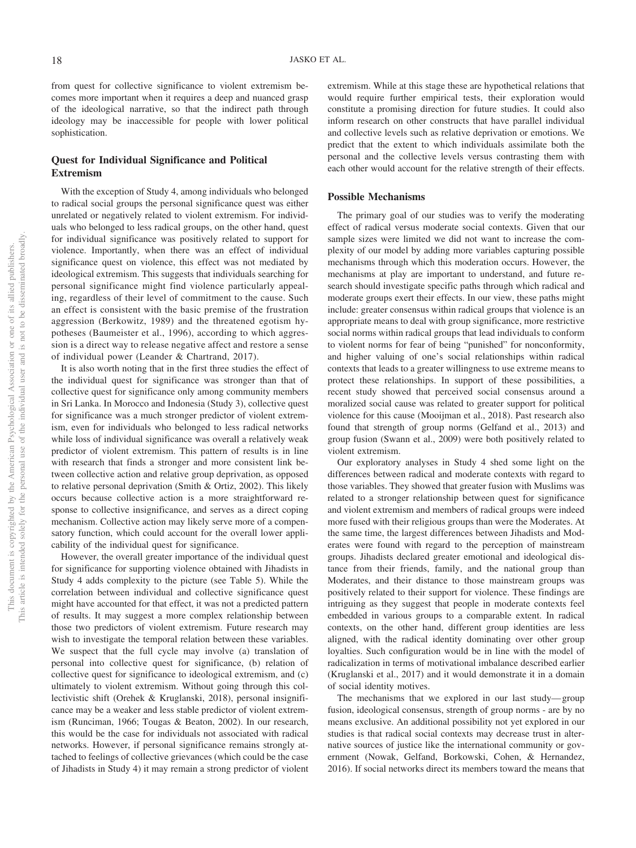from quest for collective significance to violent extremism becomes more important when it requires a deep and nuanced grasp of the ideological narrative, so that the indirect path through ideology may be inaccessible for people with lower political sophistication.

## **Quest for Individual Significance and Political Extremism**

With the exception of Study 4, among individuals who belonged to radical social groups the personal significance quest was either unrelated or negatively related to violent extremism. For individuals who belonged to less radical groups, on the other hand, quest for individual significance was positively related to support for violence. Importantly, when there was an effect of individual significance quest on violence, this effect was not mediated by ideological extremism. This suggests that individuals searching for personal significance might find violence particularly appealing, regardless of their level of commitment to the cause. Such an effect is consistent with the basic premise of the frustration aggression (Berkowitz, 1989) and the threatened egotism hypotheses (Baumeister et al., 1996), according to which aggression is a direct way to release negative affect and restore a sense of individual power (Leander & Chartrand, 2017).

It is also worth noting that in the first three studies the effect of the individual quest for significance was stronger than that of collective quest for significance only among community members in Sri Lanka. In Morocco and Indonesia (Study 3), collective quest for significance was a much stronger predictor of violent extremism, even for individuals who belonged to less radical networks while loss of individual significance was overall a relatively weak predictor of violent extremism. This pattern of results is in line with research that finds a stronger and more consistent link between collective action and relative group deprivation, as opposed to relative personal deprivation (Smith & Ortiz, 2002). This likely occurs because collective action is a more straightforward response to collective insignificance, and serves as a direct coping mechanism. Collective action may likely serve more of a compensatory function, which could account for the overall lower applicability of the individual quest for significance.

However, the overall greater importance of the individual quest for significance for supporting violence obtained with Jihadists in Study 4 adds complexity to the picture (see [Table 5\)](#page-17-0). While the correlation between individual and collective significance quest might have accounted for that effect, it was not a predicted pattern of results. It may suggest a more complex relationship between those two predictors of violent extremism. Future research may wish to investigate the temporal relation between these variables. We suspect that the full cycle may involve (a) translation of personal into collective quest for significance, (b) relation of collective quest for significance to ideological extremism, and (c) ultimately to violent extremism. Without going through this collectivistic shift (Orehek & Kruglanski, 2018), personal insignificance may be a weaker and less stable predictor of violent extremism (Runciman, 1966; Tougas & Beaton, 2002). In our research, this would be the case for individuals not associated with radical networks. However, if personal significance remains strongly attached to feelings of collective grievances (which could be the case of Jihadists in Study 4) it may remain a strong predictor of violent extremism. While at this stage these are hypothetical relations that would require further empirical tests, their exploration would constitute a promising direction for future studies. It could also inform research on other constructs that have parallel individual and collective levels such as relative deprivation or emotions. We predict that the extent to which individuals assimilate both the personal and the collective levels versus contrasting them with each other would account for the relative strength of their effects.

## **Possible Mechanisms**

The primary goal of our studies was to verify the moderating effect of radical versus moderate social contexts. Given that our sample sizes were limited we did not want to increase the complexity of our model by adding more variables capturing possible mechanisms through which this moderation occurs. However, the mechanisms at play are important to understand, and future research should investigate specific paths through which radical and moderate groups exert their effects. In our view, these paths might include: greater consensus within radical groups that violence is an appropriate means to deal with group significance, more restrictive social norms within radical groups that lead individuals to conform to violent norms for fear of being "punished" for nonconformity, and higher valuing of one's social relationships within radical contexts that leads to a greater willingness to use extreme means to protect these relationships. In support of these possibilities, a recent study showed that perceived social consensus around a moralized social cause was related to greater support for political violence for this cause (Mooijman et al., 2018). Past research also found that strength of group norms (Gelfand et al., 2013) and group fusion (Swann et al., 2009) were both positively related to violent extremism.

Our exploratory analyses in Study 4 shed some light on the differences between radical and moderate contexts with regard to those variables. They showed that greater fusion with Muslims was related to a stronger relationship between quest for significance and violent extremism and members of radical groups were indeed more fused with their religious groups than were the Moderates. At the same time, the largest differences between Jihadists and Moderates were found with regard to the perception of mainstream groups. Jihadists declared greater emotional and ideological distance from their friends, family, and the national group than Moderates, and their distance to those mainstream groups was positively related to their support for violence. These findings are intriguing as they suggest that people in moderate contexts feel embedded in various groups to a comparable extent. In radical contexts, on the other hand, different group identities are less aligned, with the radical identity dominating over other group loyalties. Such configuration would be in line with the model of radicalization in terms of motivational imbalance described earlier (Kruglanski et al., 2017) and it would demonstrate it in a domain of social identity motives.

The mechanisms that we explored in our last study— group fusion, ideological consensus, strength of group norms - are by no means exclusive. An additional possibility not yet explored in our studies is that radical social contexts may decrease trust in alternative sources of justice like the international community or government (Nowak, Gelfand, Borkowski, Cohen, & Hernandez, 2016). If social networks direct its members toward the means that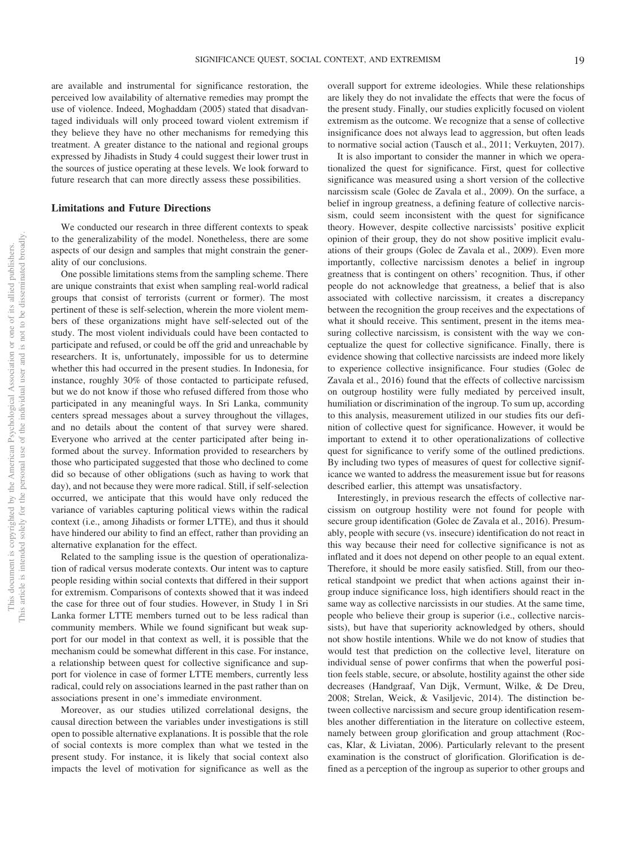are available and instrumental for significance restoration, the perceived low availability of alternative remedies may prompt the use of violence. Indeed, Moghaddam (2005) stated that disadvantaged individuals will only proceed toward violent extremism if they believe they have no other mechanisms for remedying this treatment. A greater distance to the national and regional groups expressed by Jihadists in Study 4 could suggest their lower trust in the sources of justice operating at these levels. We look forward to future research that can more directly assess these possibilities.

#### **Limitations and Future Directions**

We conducted our research in three different contexts to speak to the generalizability of the model. Nonetheless, there are some aspects of our design and samples that might constrain the generality of our conclusions.

One possible limitations stems from the sampling scheme. There are unique constraints that exist when sampling real-world radical groups that consist of terrorists (current or former). The most pertinent of these is self-selection, wherein the more violent members of these organizations might have self-selected out of the study. The most violent individuals could have been contacted to participate and refused, or could be off the grid and unreachable by researchers. It is, unfortunately, impossible for us to determine whether this had occurred in the present studies. In Indonesia, for instance, roughly 30% of those contacted to participate refused, but we do not know if those who refused differed from those who participated in any meaningful ways. In Sri Lanka, community centers spread messages about a survey throughout the villages, and no details about the content of that survey were shared. Everyone who arrived at the center participated after being informed about the survey. Information provided to researchers by those who participated suggested that those who declined to come did so because of other obligations (such as having to work that day), and not because they were more radical. Still, if self-selection occurred, we anticipate that this would have only reduced the variance of variables capturing political views within the radical context (i.e., among Jihadists or former LTTE), and thus it should have hindered our ability to find an effect, rather than providing an alternative explanation for the effect.

Related to the sampling issue is the question of operationalization of radical versus moderate contexts. Our intent was to capture people residing within social contexts that differed in their support for extremism. Comparisons of contexts showed that it was indeed the case for three out of four studies. However, in Study 1 in Sri Lanka former LTTE members turned out to be less radical than community members. While we found significant but weak support for our model in that context as well, it is possible that the mechanism could be somewhat different in this case. For instance, a relationship between quest for collective significance and support for violence in case of former LTTE members, currently less radical, could rely on associations learned in the past rather than on associations present in one's immediate environment.

Moreover, as our studies utilized correlational designs, the causal direction between the variables under investigations is still open to possible alternative explanations. It is possible that the role of social contexts is more complex than what we tested in the present study. For instance, it is likely that social context also impacts the level of motivation for significance as well as the

overall support for extreme ideologies. While these relationships are likely they do not invalidate the effects that were the focus of the present study. Finally, our studies explicitly focused on violent extremism as the outcome. We recognize that a sense of collective insignificance does not always lead to aggression, but often leads to normative social action (Tausch et al., 2011; Verkuyten, 2017).

It is also important to consider the manner in which we operationalized the quest for significance. First, quest for collective significance was measured using a short version of the collective narcissism scale (Golec de Zavala et al., 2009). On the surface, a belief in ingroup greatness, a defining feature of collective narcissism, could seem inconsistent with the quest for significance theory. However, despite collective narcissists' positive explicit opinion of their group, they do not show positive implicit evaluations of their groups (Golec de Zavala et al., 2009). Even more importantly, collective narcissism denotes a belief in ingroup greatness that is contingent on others' recognition. Thus, if other people do not acknowledge that greatness, a belief that is also associated with collective narcissism, it creates a discrepancy between the recognition the group receives and the expectations of what it should receive. This sentiment, present in the items measuring collective narcissism, is consistent with the way we conceptualize the quest for collective significance. Finally, there is evidence showing that collective narcissists are indeed more likely to experience collective insignificance. Four studies (Golec de Zavala et al., 2016) found that the effects of collective narcissism on outgroup hostility were fully mediated by perceived insult, humiliation or discrimination of the ingroup. To sum up, according to this analysis, measurement utilized in our studies fits our definition of collective quest for significance. However, it would be important to extend it to other operationalizations of collective quest for significance to verify some of the outlined predictions. By including two types of measures of quest for collective significance we wanted to address the measurement issue but for reasons described earlier, this attempt was unsatisfactory.

Interestingly, in previous research the effects of collective narcissism on outgroup hostility were not found for people with secure group identification (Golec de Zavala et al., 2016). Presumably, people with secure (vs. insecure) identification do not react in this way because their need for collective significance is not as inflated and it does not depend on other people to an equal extent. Therefore, it should be more easily satisfied. Still, from our theoretical standpoint we predict that when actions against their ingroup induce significance loss, high identifiers should react in the same way as collective narcissists in our studies. At the same time, people who believe their group is superior (i.e., collective narcissists), but have that superiority acknowledged by others, should not show hostile intentions. While we do not know of studies that would test that prediction on the collective level, literature on individual sense of power confirms that when the powerful position feels stable, secure, or absolute, hostility against the other side decreases (Handgraaf, Van Dijk, Vermunt, Wilke, & De Dreu, 2008; Strelan, Weick, & Vasiljevic, 2014). The distinction between collective narcissism and secure group identification resembles another differentiation in the literature on collective esteem, namely between group glorification and group attachment (Roccas, Klar, & Liviatan, 2006). Particularly relevant to the present examination is the construct of glorification. Glorification is defined as a perception of the ingroup as superior to other groups and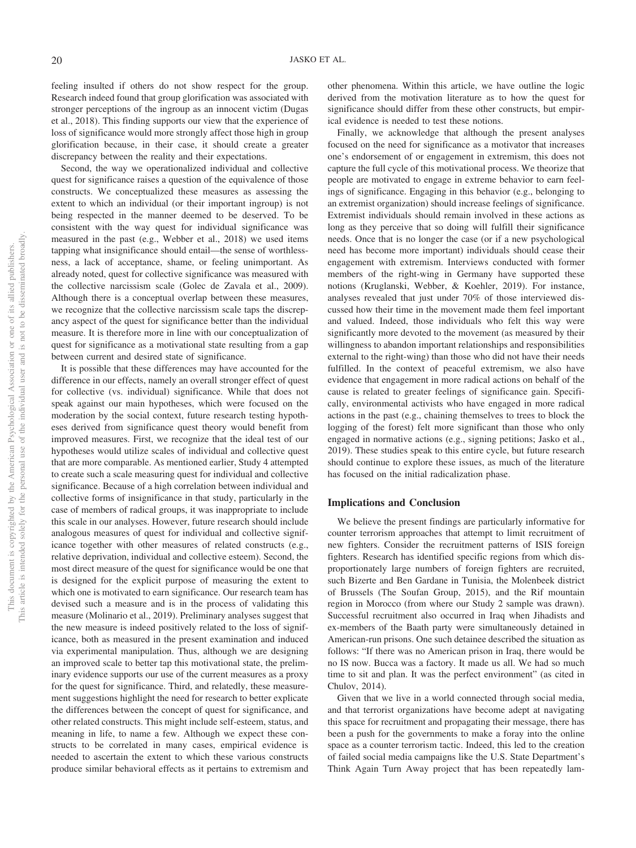feeling insulted if others do not show respect for the group. Research indeed found that group glorification was associated with stronger perceptions of the ingroup as an innocent victim (Dugas et al., 2018). This finding supports our view that the experience of loss of significance would more strongly affect those high in group glorification because, in their case, it should create a greater discrepancy between the reality and their expectations.

Second, the way we operationalized individual and collective quest for significance raises a question of the equivalence of those constructs. We conceptualized these measures as assessing the extent to which an individual (or their important ingroup) is not being respected in the manner deemed to be deserved. To be consistent with the way quest for individual significance was measured in the past (e.g., Webber et al., 2018) we used items tapping what insignificance should entail—the sense of worthlessness, a lack of acceptance, shame, or feeling unimportant. As already noted, quest for collective significance was measured with the collective narcissism scale (Golec de Zavala et al., 2009). Although there is a conceptual overlap between these measures, we recognize that the collective narcissism scale taps the discrepancy aspect of the quest for significance better than the individual measure. It is therefore more in line with our conceptualization of quest for significance as a motivational state resulting from a gap between current and desired state of significance.

It is possible that these differences may have accounted for the difference in our effects, namely an overall stronger effect of quest for collective (vs. individual) significance. While that does not speak against our main hypotheses, which were focused on the moderation by the social context, future research testing hypotheses derived from significance quest theory would benefit from improved measures. First, we recognize that the ideal test of our hypotheses would utilize scales of individual and collective quest that are more comparable. As mentioned earlier, Study 4 attempted to create such a scale measuring quest for individual and collective significance. Because of a high correlation between individual and collective forms of insignificance in that study, particularly in the case of members of radical groups, it was inappropriate to include this scale in our analyses. However, future research should include analogous measures of quest for individual and collective significance together with other measures of related constructs (e.g., relative deprivation, individual and collective esteem). Second, the most direct measure of the quest for significance would be one that is designed for the explicit purpose of measuring the extent to which one is motivated to earn significance. Our research team has devised such a measure and is in the process of validating this measure (Molinario et al., 2019). Preliminary analyses suggest that the new measure is indeed positively related to the loss of significance, both as measured in the present examination and induced via experimental manipulation. Thus, although we are designing an improved scale to better tap this motivational state, the preliminary evidence supports our use of the current measures as a proxy for the quest for significance. Third, and relatedly, these measurement suggestions highlight the need for research to better explicate the differences between the concept of quest for significance, and other related constructs. This might include self-esteem, status, and meaning in life, to name a few. Although we expect these constructs to be correlated in many cases, empirical evidence is needed to ascertain the extent to which these various constructs produce similar behavioral effects as it pertains to extremism and other phenomena. Within this article, we have outline the logic derived from the motivation literature as to how the quest for significance should differ from these other constructs, but empirical evidence is needed to test these notions.

Finally, we acknowledge that although the present analyses focused on the need for significance as a motivator that increases one's endorsement of or engagement in extremism, this does not capture the full cycle of this motivational process. We theorize that people are motivated to engage in extreme behavior to earn feelings of significance. Engaging in this behavior (e.g., belonging to an extremist organization) should increase feelings of significance. Extremist individuals should remain involved in these actions as long as they perceive that so doing will fulfill their significance needs. Once that is no longer the case (or if a new psychological need has become more important) individuals should cease their engagement with extremism. Interviews conducted with former members of the right-wing in Germany have supported these notions (Kruglanski, Webber, & Koehler, 2019). For instance, analyses revealed that just under 70% of those interviewed discussed how their time in the movement made them feel important and valued. Indeed, those individuals who felt this way were significantly more devoted to the movement (as measured by their willingness to abandon important relationships and responsibilities external to the right-wing) than those who did not have their needs fulfilled. In the context of peaceful extremism, we also have evidence that engagement in more radical actions on behalf of the cause is related to greater feelings of significance gain. Specifically, environmental activists who have engaged in more radical actions in the past (e.g., chaining themselves to trees to block the logging of the forest) felt more significant than those who only engaged in normative actions (e.g., signing petitions; Jasko et al., 2019). These studies speak to this entire cycle, but future research should continue to explore these issues, as much of the literature has focused on the initial radicalization phase.

## **Implications and Conclusion**

We believe the present findings are particularly informative for counter terrorism approaches that attempt to limit recruitment of new fighters. Consider the recruitment patterns of ISIS foreign fighters. Research has identified specific regions from which disproportionately large numbers of foreign fighters are recruited, such Bizerte and Ben Gardane in Tunisia, the Molenbeek district of Brussels (The Soufan Group, 2015), and the Rif mountain region in Morocco (from where our Study 2 sample was drawn). Successful recruitment also occurred in Iraq when Jihadists and ex-members of the Baath party were simultaneously detained in American-run prisons. One such detainee described the situation as follows: "If there was no American prison in Iraq, there would be no IS now. Bucca was a factory. It made us all. We had so much time to sit and plan. It was the perfect environment" (as cited in Chulov, 2014).

Given that we live in a world connected through social media, and that terrorist organizations have become adept at navigating this space for recruitment and propagating their message, there has been a push for the governments to make a foray into the online space as a counter terrorism tactic. Indeed, this led to the creation of failed social media campaigns like the U.S. State Department's Think Again Turn Away project that has been repeatedly lam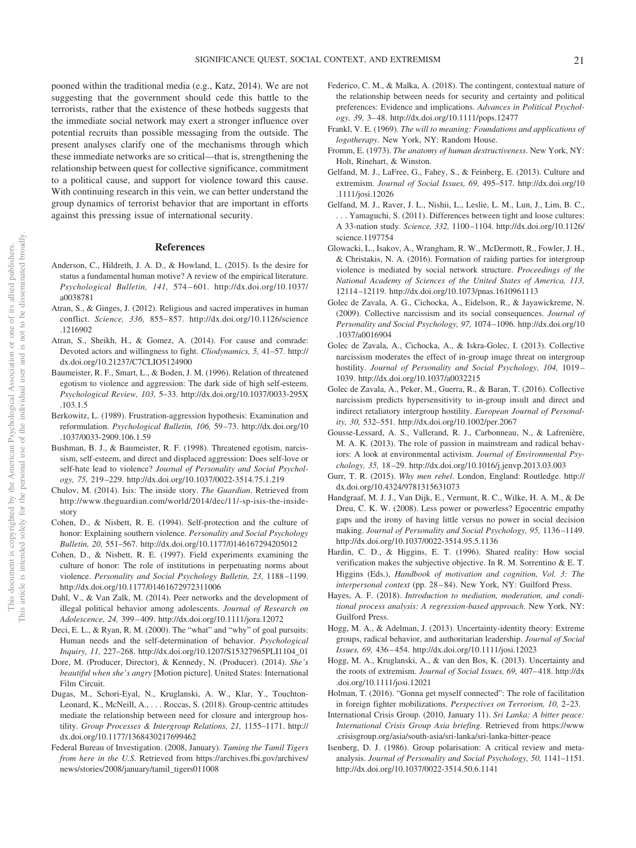pooned within the traditional media (e.g., Katz, 2014). We are not suggesting that the government should cede this battle to the terrorists, rather that the existence of these hotbeds suggests that the immediate social network may exert a stronger influence over potential recruits than possible messaging from the outside. The present analyses clarify one of the mechanisms through which these immediate networks are so critical—that is, strengthening the relationship between quest for collective significance, commitment to a political cause, and support for violence toward this cause. With continuing research in this vein, we can better understand the group dynamics of terrorist behavior that are important in efforts against this pressing issue of international security.

## **References**

- Anderson, C., Hildreth, J. A. D., & Howland, L. (2015). Is the desire for status a fundamental human motive? A review of the empirical literature. *Psychological Bulletin, 141,* 574 – 601. [http://dx.doi.org/10.1037/](http://dx.doi.org/10.1037/a0038781) [a0038781](http://dx.doi.org/10.1037/a0038781)
- Atran, S., & Ginges, J. (2012). Religious and sacred imperatives in human conflict. *Science, 336,* 855– 857. [http://dx.doi.org/10.1126/science](http://dx.doi.org/10.1126/science.1216902) [.1216902](http://dx.doi.org/10.1126/science.1216902)
- Atran, S., Sheikh, H., & Gomez, A. (2014). For cause and comrade: Devoted actors and willingness to fight. *Cliodynamics, 5,* 41–57. [http://](http://dx.doi.org/10.21237/C7CLIO5124900) [dx.doi.org/10.21237/C7CLIO5124900](http://dx.doi.org/10.21237/C7CLIO5124900)
- Baumeister, R. F., Smart, L., & Boden, J. M. (1996). Relation of threatened egotism to violence and aggression: The dark side of high self-esteem. *Psychological Review, 103,* 5–33. [http://dx.doi.org/10.1037/0033-295X](http://dx.doi.org/10.1037/0033-295X.103.1.5) [.103.1.5](http://dx.doi.org/10.1037/0033-295X.103.1.5)
- Berkowitz, L. (1989). Frustration-aggression hypothesis: Examination and reformulation. *Psychological Bulletin, 106,* 59 –73. [http://dx.doi.org/10](http://dx.doi.org/10.1037/0033-2909.106.1.59) [.1037/0033-2909.106.1.59](http://dx.doi.org/10.1037/0033-2909.106.1.59)
- Bushman, B. J., & Baumeister, R. F. (1998). Threatened egotism, narcissism, self-esteem, and direct and displaced aggression: Does self-love or self-hate lead to violence? *Journal of Personality and Social Psychology, 75,* 219 –229.<http://dx.doi.org/10.1037/0022-3514.75.1.219>
- Chulov, M. (2014). Isis: The inside story. *The Guardian*. Retrieved from [http://www.theguardian.com/world/2014/dec/11/-sp-isis-the-inside](http://www.theguardian.com/world/2014/dec/11/-sp-isis-the-inside-story)[story](http://www.theguardian.com/world/2014/dec/11/-sp-isis-the-inside-story)
- Cohen, D., & Nisbett, R. E. (1994). Self-protection and the culture of honor: Explaining southern violence. *Personality and Social Psychology Bulletin, 20,* 551–567.<http://dx.doi.org/10.1177/0146167294205012>
- <span id="page-21-0"></span>Cohen, D., & Nisbett, R. E. (1997). Field experiments examining the culture of honor: The role of institutions in perpetuating norms about violence. *Personality and Social Psychology Bulletin, 23,* 1188 –1199. <http://dx.doi.org/10.1177/01461672972311006>
- Dahl, V., & Van Zalk, M. (2014). Peer networks and the development of illegal political behavior among adolescents. *Journal of Research on Adolescence, 24,* 399 – 409.<http://dx.doi.org/10.1111/jora.12072>
- Deci, E. L., & Ryan, R. M. (2000). The "what" and "why" of goal pursuits: Human needs and the self-determination of behavior. *Psychological Inquiry, 11,* 227–268. [http://dx.doi.org/10.1207/S15327965PLI1104\\_01](http://dx.doi.org/10.1207/S15327965PLI1104_01)
- Dore, M. (Producer, Director), & Kennedy, N. (Producer). (2014). *She's beautiful when she's angry* [Motion picture]. United States: International Film Circuit.
- Dugas, M., Schori-Eyal, N., Kruglanski, A. W., Klar, Y., Touchton-Leonard, K., McNeill, A.,... Roccas, S. (2018). Group-centric attitudes mediate the relationship between need for closure and intergroup hostility. *Group Processes & Intergroup Relations, 21,* 1155–1171. [http://](http://dx.doi.org/10.1177/1368430217699462) [dx.doi.org/10.1177/1368430217699462](http://dx.doi.org/10.1177/1368430217699462)
- Federal Bureau of Investigation. (2008, January). *Taming the Tamil Tigers from here in the U.S*. Retrieved from [https://archives.fbi.gov/archives/](https://archives.fbi.gov/archives/news/stories/2008/january/tamil_tigers011008) [news/stories/2008/january/tamil\\_tigers011008](https://archives.fbi.gov/archives/news/stories/2008/january/tamil_tigers011008)
- Federico, C. M., & Malka, A. (2018). The contingent, contextual nature of the relationship between needs for security and certainty and political preferences: Evidence and implications. *Advances in Political Psychology, 39,* 3– 48.<http://dx.doi.org/10.1111/pops.12477>
- Frankl, V. E. (1969). *The will to meaning: Foundations and applications of logotherapy*. New York, NY: Random House.
- Fromm, E. (1973). *The anatomy of human destructiveness*. New York, NY: Holt, Rinehart, & Winston.
- Gelfand, M. J., LaFree, G., Fahey, S., & Feinberg, E. (2013). Culture and extremism. *Journal of Social Issues, 69,* 495–517. [http://dx.doi.org/10](http://dx.doi.org/10.1111/josi.12026) [.1111/josi.12026](http://dx.doi.org/10.1111/josi.12026)
- Gelfand, M. J., Raver, J. L., Nishii, L., Leslie, L. M., Lun, J., Lim, B. C., . . . Yamaguchi, S. (2011). Differences between tight and loose cultures: A 33-nation study. *Science, 332,* 1100 –1104. [http://dx.doi.org/10.1126/](http://dx.doi.org/10.1126/science.1197754) [science.1197754](http://dx.doi.org/10.1126/science.1197754)
- Glowacki, L., Isakov, A., Wrangham, R. W., McDermott, R., Fowler, J. H., & Christakis, N. A. (2016). Formation of raiding parties for intergroup violence is mediated by social network structure. *Proceedings of the National Academy of Sciences of the United States of America, 113,* 12114 –12119.<http://dx.doi.org/10.1073/pnas.1610961113>
- Golec de Zavala, A. G., Cichocka, A., Eidelson, R., & Jayawickreme, N. (2009). Collective narcissism and its social consequences. *Journal of Personality and Social Psychology, 97,* 1074 –1096. [http://dx.doi.org/10](http://dx.doi.org/10.1037/a0016904) [.1037/a0016904](http://dx.doi.org/10.1037/a0016904)
- Golec de Zavala, A., Cichocka, A., & Iskra-Golec, I. (2013). Collective narcissism moderates the effect of in-group image threat on intergroup hostility. *Journal of Personality and Social Psychology, 104,* 1019 – 1039.<http://dx.doi.org/10.1037/a0032215>
- Golec de Zavala, A., Peker, M., Guerra, R., & Baran, T. (2016). Collective narcissism predicts hypersensitivity to in-group insult and direct and indirect retaliatory intergroup hostility. *European Journal of Personality, 30,* 532–551.<http://dx.doi.org/10.1002/per.2067>
- Gousse-Lessard, A. S., Vallerand, R. J., Carbonneau, N., & Lafrenière, M. A. K. (2013). The role of passion in mainstream and radical behaviors: A look at environmental activism. *Journal of Environmental Psychology, 35,* 18 –29.<http://dx.doi.org/10.1016/j.jenvp.2013.03.003>
- Gurr, T. R. (2015). *Why men rebel*. London, England: Routledge. [http://](http://dx.doi.org/10.4324/9781315631073) [dx.doi.org/10.4324/9781315631073](http://dx.doi.org/10.4324/9781315631073)
- Handgraaf, M. J. J., Van Dijk, E., Vermunt, R. C., Wilke, H. A. M., & De Dreu, C. K. W. (2008). Less power or powerless? Egocentric empathy gaps and the irony of having little versus no power in social decision making. *Journal of Personality and Social Psychology, 95,* 1136 –1149. <http://dx.doi.org/10.1037/0022-3514.95.5.1136>
- Hardin, C. D., & Higgins, E. T. (1996). Shared reality: How social verification makes the subjective objective. In R. M. Sorrentino & E. T. Higgins (Eds.), *Handbook of motivation and cognition, Vol. 3: The interpersonal context* (pp. 28 – 84). New York, NY: Guilford Press.
- Hayes, A. F. (2018). *Introduction to mediation, moderation, and conditional process analysis: A regression-based approach*. New York, NY: Guilford Press.
- Hogg, M. A., & Adelman, J. (2013). Uncertainty-identity theory: Extreme groups, radical behavior, and authoritarian leadership. *Journal of Social Issues, 69,* 436 – 454.<http://dx.doi.org/10.1111/josi.12023>
- Hogg, M. A., Kruglanski, A., & van den Bos, K. (2013). Uncertainty and the roots of extremism. *Journal of Social Issues*, 69, 407-418. [http://dx](http://dx.doi.org/10.1111/josi.12021) [.doi.org/10.1111/josi.12021](http://dx.doi.org/10.1111/josi.12021)
- Holman, T. (2016). "Gonna get myself connected": The role of facilitation in foreign fighter mobilizations. *Perspectives on Terrorism, 10,* 2–23.
- International Crisis Group. (2010, January 11). *Sri Lanka: A bitter peace: International Crisis Group Asia briefing*. Retrieved from [https://www](https://www.crisisgroup.org/asia/south-asia/sri-lanka/sri-lanka-bitter-peace) [.crisisgroup.org/asia/south-asia/sri-lanka/sri-lanka-bitter-peace](https://www.crisisgroup.org/asia/south-asia/sri-lanka/sri-lanka-bitter-peace)
- Isenberg, D. J. (1986). Group polarisation: A critical review and metaanalysis. *Journal of Personality and Social Psychology, 50,* 1141–1151. <http://dx.doi.org/10.1037/0022-3514.50.6.1141>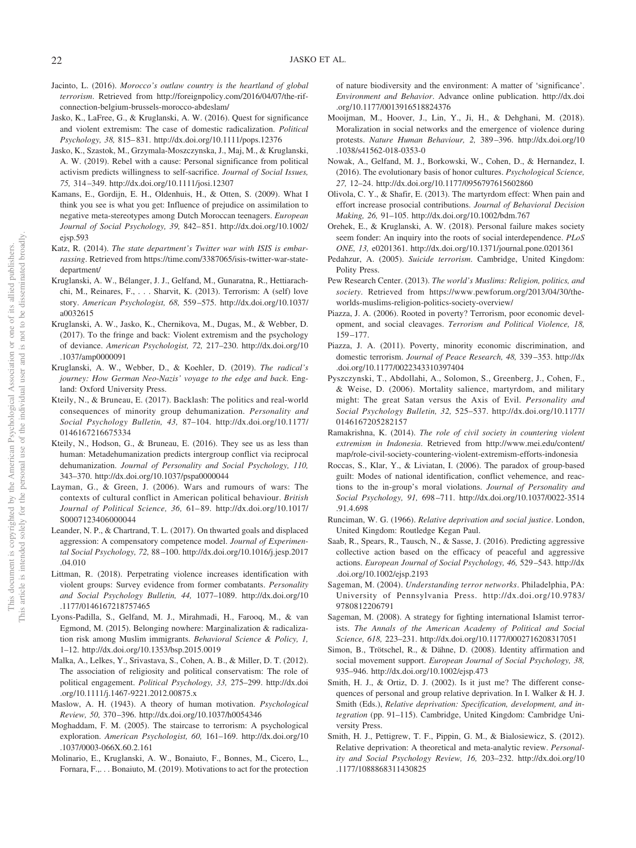- Jacinto, L. (2016). *Morocco's outlaw country is the heartland of global terrorism*. Retrieved from [http://foreignpolicy.com/2016/04/07/the-rif](http://foreignpolicy.com/2016/04/07/the-rif-connection-belgium-brussels-morocco-abdeslam/)[connection-belgium-brussels-morocco-abdeslam/](http://foreignpolicy.com/2016/04/07/the-rif-connection-belgium-brussels-morocco-abdeslam/)
- Jasko, K., LaFree, G., & Kruglanski, A. W. (2016). Quest for significance and violent extremism: The case of domestic radicalization. *Political Psychology, 38,* 815– 831.<http://dx.doi.org/10.1111/pops.12376>
- Jasko, K., Szastok, M., Grzymala-Moszczynska, J., Maj, M., & Kruglanski, A. W. (2019). Rebel with a cause: Personal significance from political activism predicts willingness to self-sacrifice. *Journal of Social Issues, 75,* 314 –349.<http://dx.doi.org/10.1111/josi.12307>
- Kamans, E., Gordijn, E. H., Oldenhuis, H., & Otten, S. (2009). What I think you see is what you get: Influence of prejudice on assimilation to negative meta-stereotypes among Dutch Moroccan teenagers. *European Journal of Social Psychology, 39,* 842– 851. [http://dx.doi.org/10.1002/](http://dx.doi.org/10.1002/ejsp.593) [ejsp.593](http://dx.doi.org/10.1002/ejsp.593)
- Katz, R. (2014). *The state department's Twitter war with ISIS is embarrassing*. Retrieved from [https://time.com/3387065/isis-twitter-war-state](https://time.com/3387065/isis-twitter-war-state-department/)[department/](https://time.com/3387065/isis-twitter-war-state-department/)
- Kruglanski, A. W., Bélanger, J. J., Gelfand, M., Gunaratna, R., Hettiarachchi, M., Reinares, F.,... Sharvit, K. (2013). Terrorism: A (self) love story. *American Psychologist, 68,* 559 –575. [http://dx.doi.org/10.1037/](http://dx.doi.org/10.1037/a0032615) [a0032615](http://dx.doi.org/10.1037/a0032615)
- Kruglanski, A. W., Jasko, K., Chernikova, M., Dugas, M., & Webber, D. (2017). To the fringe and back: Violent extremism and the psychology of deviance. *American Psychologist, 72,* 217–230. [http://dx.doi.org/10](http://dx.doi.org/10.1037/amp0000091) [.1037/amp0000091](http://dx.doi.org/10.1037/amp0000091)
- Kruglanski, A. W., Webber, D., & Koehler, D. (2019). *The radical's journey: How German Neo-Nazis' voyage to the edge and back*. England: Oxford University Press.
- Kteily, N., & Bruneau, E. (2017). Backlash: The politics and real-world consequences of minority group dehumanization. *Personality and Social Psychology Bulletin, 43,* 87–104. [http://dx.doi.org/10.1177/](http://dx.doi.org/10.1177/0146167216675334) [0146167216675334](http://dx.doi.org/10.1177/0146167216675334)
- Kteily, N., Hodson, G., & Bruneau, E. (2016). They see us as less than human: Metadehumanization predicts intergroup conflict via reciprocal dehumanization. *Journal of Personality and Social Psychology, 110,* 343–370.<http://dx.doi.org/10.1037/pspa0000044>
- Layman, G., & Green, J. (2006). Wars and rumours of wars: The contexts of cultural conflict in American political behaviour. *British Journal of Political Science, 36,* 61– 89. [http://dx.doi.org/10.1017/](http://dx.doi.org/10.1017/S0007123406000044) [S0007123406000044](http://dx.doi.org/10.1017/S0007123406000044)
- Leander, N. P., & Chartrand, T. L. (2017). On thwarted goals and displaced aggression: A compensatory competence model. *Journal of Experimental Social Psychology, 72,* 88 –100. [http://dx.doi.org/10.1016/j.jesp.2017](http://dx.doi.org/10.1016/j.jesp.2017.04.010) [.04.010](http://dx.doi.org/10.1016/j.jesp.2017.04.010)
- Littman, R. (2018). Perpetrating violence increases identification with violent groups: Survey evidence from former combatants. *Personality and Social Psychology Bulletin, 44,* 1077–1089. [http://dx.doi.org/10](http://dx.doi.org/10.1177/0146167218757465) [.1177/0146167218757465](http://dx.doi.org/10.1177/0146167218757465)
- Lyons-Padilla, S., Gelfand, M. J., Mirahmadi, H., Farooq, M., & van Egmond, M. (2015). Belonging nowhere: Marginalization & radicalization risk among Muslim immigrants. *Behavioral Science & Policy, 1,* 1–12.<http://dx.doi.org/10.1353/bsp.2015.0019>
- Malka, A., Lelkes, Y., Srivastava, S., Cohen, A. B., & Miller, D. T. (2012). The association of religiosity and political conservatism: The role of political engagement. *Political Psychology, 33,* 275–299. [http://dx.doi](http://dx.doi.org/10.1111/j.1467-9221.2012.00875.x) [.org/10.1111/j.1467-9221.2012.00875.x](http://dx.doi.org/10.1111/j.1467-9221.2012.00875.x)
- Maslow, A. H. (1943). A theory of human motivation. *Psychological Review, 50,* 370 –396.<http://dx.doi.org/10.1037/h0054346>
- Moghaddam, F. M. (2005). The staircase to terrorism: A psychological exploration. *American Psychologist, 60,* 161–169. [http://dx.doi.org/10](http://dx.doi.org/10.1037/0003-066X.60.2.161) [.1037/0003-066X.60.2.161](http://dx.doi.org/10.1037/0003-066X.60.2.161)
- Molinario, E., Kruglanski, A. W., Bonaiuto, F., Bonnes, M., Cicero, L., Fornara, F.,. . . Bonaiuto, M. (2019). Motivations to act for the protection

of nature biodiversity and the environment: A matter of 'significance'. *Environment and Behavior*. Advance online publication. [http://dx.doi](http://dx.doi.org/10.1177/0013916518824376) [.org/10.1177/0013916518824376](http://dx.doi.org/10.1177/0013916518824376)

- Mooijman, M., Hoover, J., Lin, Y., Ji, H., & Dehghani, M. (2018). Moralization in social networks and the emergence of violence during protests. *Nature Human Behaviour, 2,* 389 –396. [http://dx.doi.org/10](http://dx.doi.org/10.1038/s41562-018-0353-0) [.1038/s41562-018-0353-0](http://dx.doi.org/10.1038/s41562-018-0353-0)
- Nowak, A., Gelfand, M. J., Borkowski, W., Cohen, D., & Hernandez, I. (2016). The evolutionary basis of honor cultures. *Psychological Science, 27,* 12–24.<http://dx.doi.org/10.1177/0956797615602860>
- Olivola, C. Y., & Shafir, E. (2013). The martyrdom effect: When pain and effort increase prosocial contributions. *Journal of Behavioral Decision Making, 26,* 91–105.<http://dx.doi.org/10.1002/bdm.767>
- Orehek, E., & Kruglanski, A. W. (2018). Personal failure makes society seem fonder: An inquiry into the roots of social interdependence. *PLoS ONE, 13,* e0201361.<http://dx.doi.org/10.1371/journal.pone.0201361>
- Pedahzur, A. (2005). *Suicide terrorism*. Cambridge, United Kingdom: Polity Press.
- Pew Research Center. (2013). *The world's Muslims: Religion, politics, and society*. Retrieved from [https://www.pewforum.org/2013/04/30/the](https://www.pewforum.org/2013/04/30/the-worlds-muslims-religion-politics-society-overview/)[worlds-muslims-religion-politics-society-overview/](https://www.pewforum.org/2013/04/30/the-worlds-muslims-religion-politics-society-overview/)
- Piazza, J. A. (2006). Rooted in poverty? Terrorism, poor economic development, and social cleavages. *Terrorism and Political Violence, 18,* 159 –177.
- Piazza, J. A. (2011). Poverty, minority economic discrimination, and domestic terrorism. *Journal of Peace Research, 48,* 339 –353. [http://dx](http://dx.doi.org/10.1177/0022343310397404) [.doi.org/10.1177/0022343310397404](http://dx.doi.org/10.1177/0022343310397404)
- Pyszczynski, T., Abdollahi, A., Solomon, S., Greenberg, J., Cohen, F., & Weise, D. (2006). Mortality salience, martyrdom, and military might: The great Satan versus the Axis of Evil. *Personality and Social Psychology Bulletin, 32,* 525–537. [http://dx.doi.org/10.1177/](http://dx.doi.org/10.1177/0146167205282157) [0146167205282157](http://dx.doi.org/10.1177/0146167205282157)
- Ramakrishna, K. (2014). *The role of civil society in countering violent extremism in Indonesia*. Retrieved from [http://www.mei.edu/content/](http://www.mei.edu/content/map/role-civil-society-countering-violent-extremism-efforts-indonesia) [map/role-civil-society-countering-violent-extremism-efforts-indonesia](http://www.mei.edu/content/map/role-civil-society-countering-violent-extremism-efforts-indonesia)
- Roccas, S., Klar, Y., & Liviatan, I. (2006). The paradox of group-based guilt: Modes of national identification, conflict vehemence, and reactions to the in-group's moral violations. *Journal of Personality and Social Psychology, 91,* 698 –711. [http://dx.doi.org/10.1037/0022-3514](http://dx.doi.org/10.1037/0022-3514.91.4.698) [.91.4.698](http://dx.doi.org/10.1037/0022-3514.91.4.698)
- Runciman, W. G. (1966). *Relative deprivation and social justice*. London, United Kingdom: Routledge Kegan Paul.
- Saab, R., Spears, R., Tausch, N., & Sasse, J. (2016). Predicting aggressive collective action based on the efficacy of peaceful and aggressive actions. *European Journal of Social Psychology, 46,* 529 –543. [http://dx](http://dx.doi.org/10.1002/ejsp.2193) [.doi.org/10.1002/ejsp.2193](http://dx.doi.org/10.1002/ejsp.2193)
- Sageman, M. (2004). *Understanding terror networks*. Philadelphia, PA: University of Pennsylvania Press. [http://dx.doi.org/10.9783/](http://dx.doi.org/10.9783/9780812206791) [9780812206791](http://dx.doi.org/10.9783/9780812206791)
- Sageman, M. (2008). A strategy for fighting international Islamist terrorists. *The Annals of the American Academy of Political and Social Science, 618,* 223–231.<http://dx.doi.org/10.1177/0002716208317051>
- Simon, B., Trötschel, R., & Dähne, D. (2008). Identity affirmation and social movement support. *European Journal of Social Psychology, 38,* 935–946.<http://dx.doi.org/10.1002/ejsp.473>
- Smith, H. J., & Ortiz, D. J. (2002). Is it just me? The different consequences of personal and group relative deprivation. In I. Walker & H. J. Smith (Eds.), *Relative deprivation: Specification, development, and integration* (pp. 91–115). Cambridge, United Kingdom: Cambridge University Press.
- Smith, H. J., Pettigrew, T. F., Pippin, G. M., & Bialosiewicz, S. (2012). Relative deprivation: A theoretical and meta-analytic review. *Personality and Social Psychology Review, 16,* 203–232. [http://dx.doi.org/10](http://dx.doi.org/10.1177/1088868311430825) [.1177/1088868311430825](http://dx.doi.org/10.1177/1088868311430825)